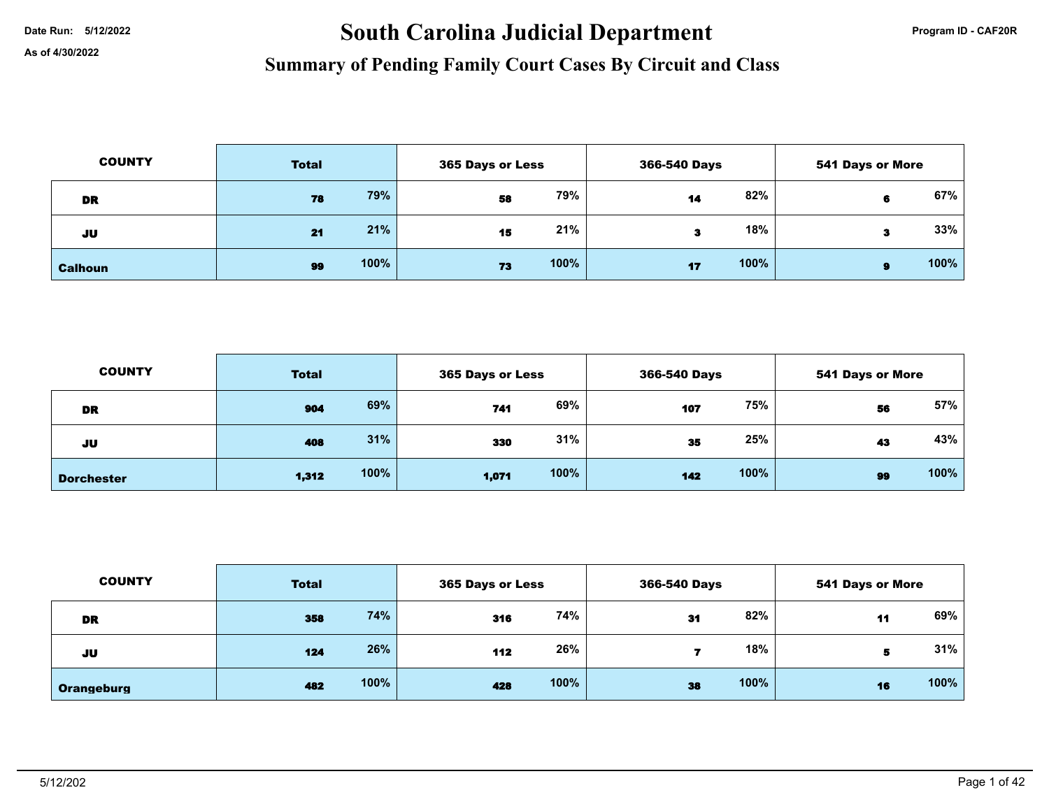# Date Run: 5/12/2022 **Program ID - CAF20R** South Carolina Judicial Department

| <b>COUNTY</b>  | <b>Total</b> |      |    | 365 Days or Less |    | 366-540 Days |   | <b>541 Days or More</b> |  |
|----------------|--------------|------|----|------------------|----|--------------|---|-------------------------|--|
| DR             | 78           | 79%  | 58 | 79%              | 14 | 82%          | 6 | 67%                     |  |
| JU             | 21           | 21%  | 15 | 21%              |    | 18%          | з | 33%                     |  |
| <b>Calhoun</b> | 99           | 100% | 73 | 100%             | 17 | 100%         | я | 100%                    |  |

| <b>COUNTY</b>     | <b>Total</b> |      |       | <b>365 Days or Less</b> |     | 366-540 Days |    | <b>541 Days or More</b> |
|-------------------|--------------|------|-------|-------------------------|-----|--------------|----|-------------------------|
| DR                | 904          | 69%  | 741   | 69%                     | 107 | 75%          | 56 | 57%                     |
| JU                | 408          | 31%  | 330   | 31%                     | 35  | 25%          | 43 | 43%                     |
| <b>Dorchester</b> | 1,312        | 100% | 1,071 | 100%                    | 142 | 100%         | 99 | 100%                    |

| <b>COUNTY</b> | <b>Total</b> |      | 365 Days or Less |      | 366-540 Days |      | <b>541 Days or More</b> |      |
|---------------|--------------|------|------------------|------|--------------|------|-------------------------|------|
| <b>DR</b>     | 358          | 74%  | 316              | 74%  | 31           | 82%  | 11                      | 69%  |
| JU            | 124          | 26%  | 112              | 26%  |              | 18%  | 5                       | 31%  |
| Orangeburg    | 482          | 100% | 428              | 100% | 38           | 100% | 16                      | 100% |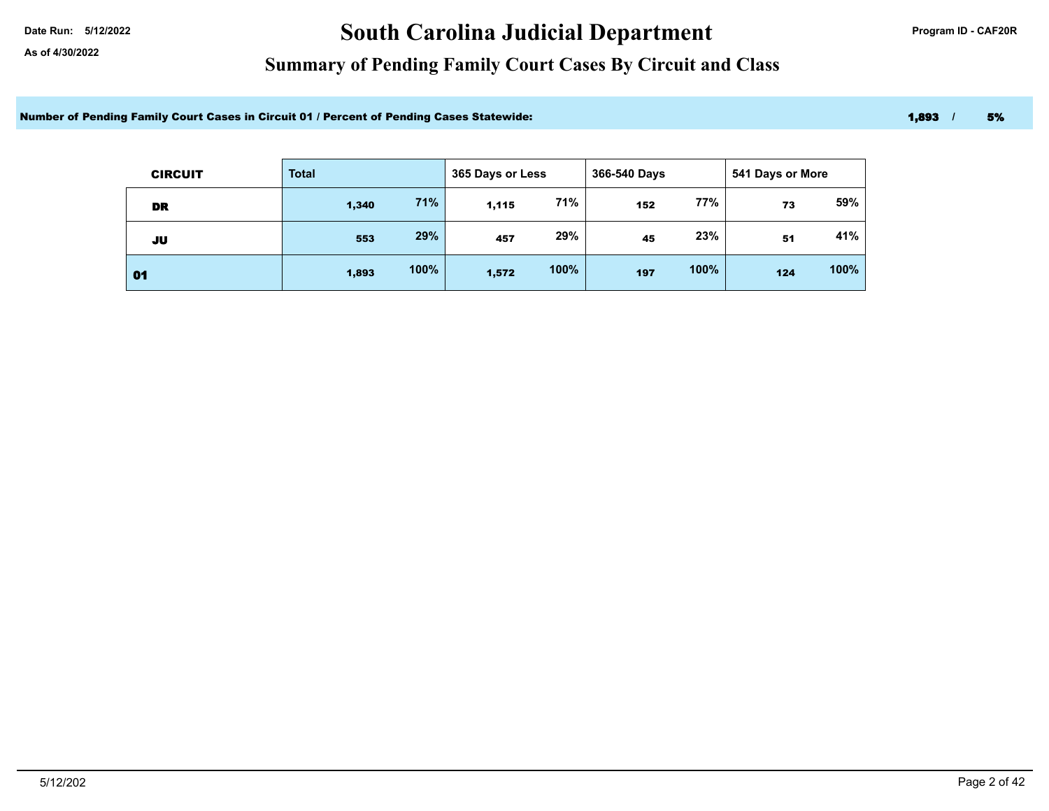## Date Run: 5/12/2022 **Date Run: 5/12/2022** Program ID - CAF20R

### **Summary of Pending Family Court Cases By Circuit and Class**

Number of Pending Family Court Cases in Circuit 01 / Percent of Pending Cases Statewide: 1,893 / 5% 1,893 / 5%

| <b>CIRCUIT</b> | <b>Total</b> |      | 365 Days or Less |      | 366-540 Days |      | 541 Days or More |      |
|----------------|--------------|------|------------------|------|--------------|------|------------------|------|
| DR             | 1,340        | 71%  | 1,115            | 71%  | 152          | 77%  | 73               | 59%  |
| JU             | 553          | 29%  | 457              | 29%  | 45           | 23%  | 51               | 41%  |
| 01             | 1,893        | 100% | 1,572            | 100% | 197          | 100% | 124              | 100% |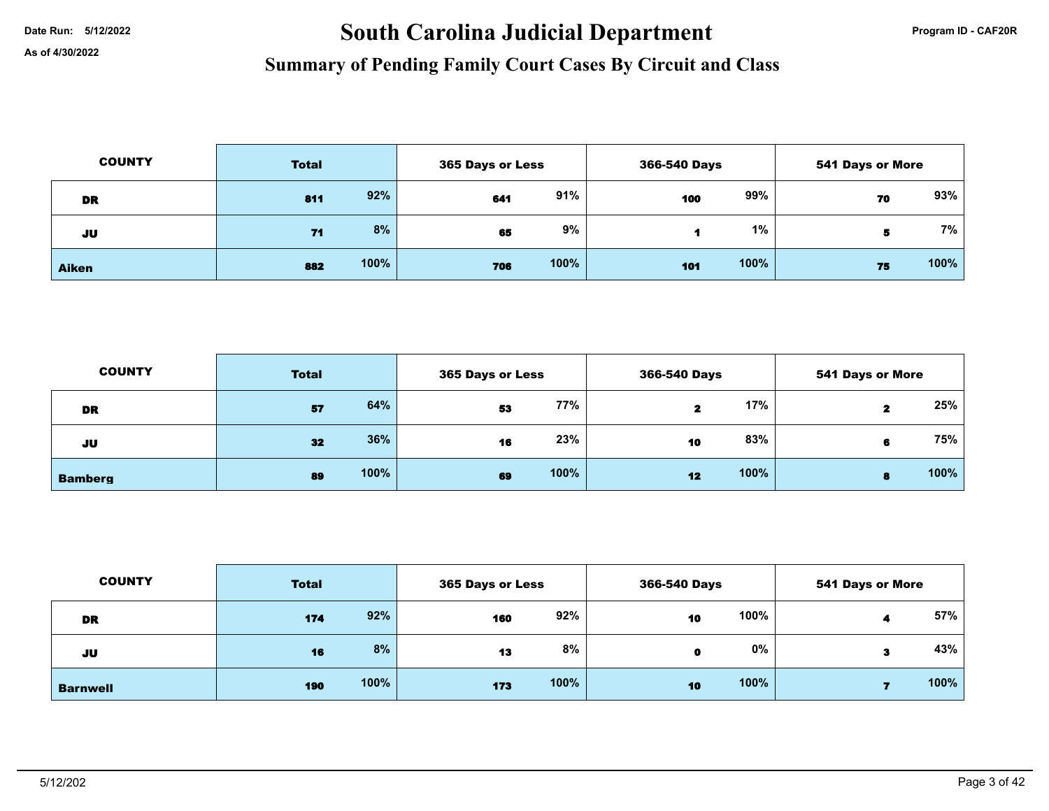# Date Run: 5/12/2022 **Program ID - CAF20R South Carolina Judicial Department Program ID - CAF20R**

| <b>COUNTY</b> | <b>Total</b> |      |     | 365 Days or Less |     | 366-540 Days |    | <b>541 Days or More</b> |  |
|---------------|--------------|------|-----|------------------|-----|--------------|----|-------------------------|--|
| DR            | 811          | 92%  | 641 | 91%              | 100 | 99%          | 70 | 93%                     |  |
| JU            | 71           | 8%   | 65  | 9%               |     | 1%           | 5  | 7%                      |  |
| <b>Aiken</b>  | 882          | 100% | 706 | 100%             | 101 | 100%         | 75 | 100%                    |  |

| <b>COUNTY</b>  | <b>Total</b> | 365 Days or Less | 366-540 Days | <b>541 Days or More</b> |  |
|----------------|--------------|------------------|--------------|-------------------------|--|
| DR             | 64%<br>57    | 77%<br>53        | 17%<br>2     | 25%                     |  |
| JU             | 36%<br>32    | 23%<br>16        | 83%<br>10    | 75%                     |  |
| <b>Bamberg</b> | 100%<br>89   | 100%<br>69       | 100%<br>12   | 100%<br>8               |  |

| <b>COUNTY</b>   | <b>Total</b> |      |     | 365 Days or Less |    | 366-540 Days |   | <b>541 Days or More</b> |  |
|-----------------|--------------|------|-----|------------------|----|--------------|---|-------------------------|--|
| <b>DR</b>       | 174          | 92%  | 160 | 92%              | 10 | 100%         |   | 57%                     |  |
| JU              | 16           | 8%   | 13  | 8%               |    | 0%           | з | 43%                     |  |
| <b>Barnwell</b> | 190          | 100% | 173 | 100%             | 10 | 100%         |   | 100%                    |  |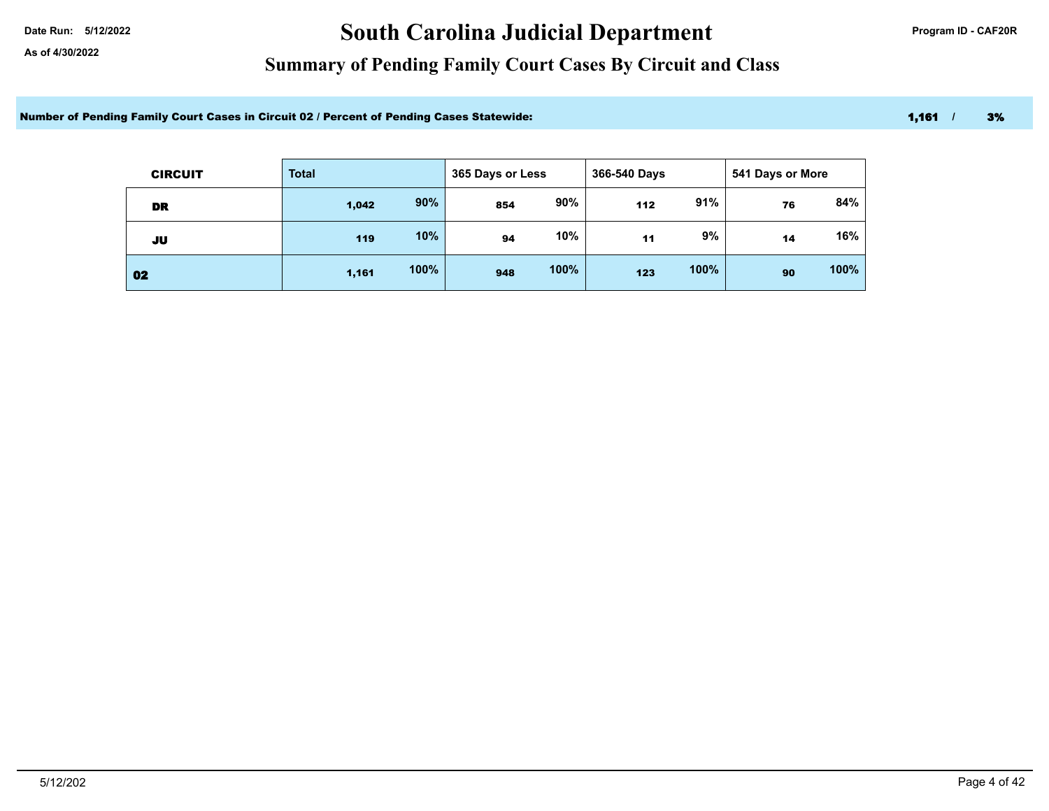## Date Run: 5/12/2022 **Date Run: 5/12/2022** Program ID - CAF20R

### **Summary of Pending Family Court Cases By Circuit and Class**

Number of Pending Family Court Cases in Circuit 02 / Percent of Pending Cases Statewide: 1,161 / 3%

| <b>CIRCUIT</b> | <b>Total</b> |      | 365 Days or Less |      | 366-540 Days |      | 541 Days or More |      |
|----------------|--------------|------|------------------|------|--------------|------|------------------|------|
| <b>DR</b>      | 1,042        | 90%  | 854              | 90%  | 112          | 91%  | 76               | 84%  |
| JU             | 119          | 10%  | 94               | 10%  | 11           | 9%   | 14               | 16%  |
| 02             | 1,161        | 100% | 948              | 100% | 123          | 100% | 90               | 100% |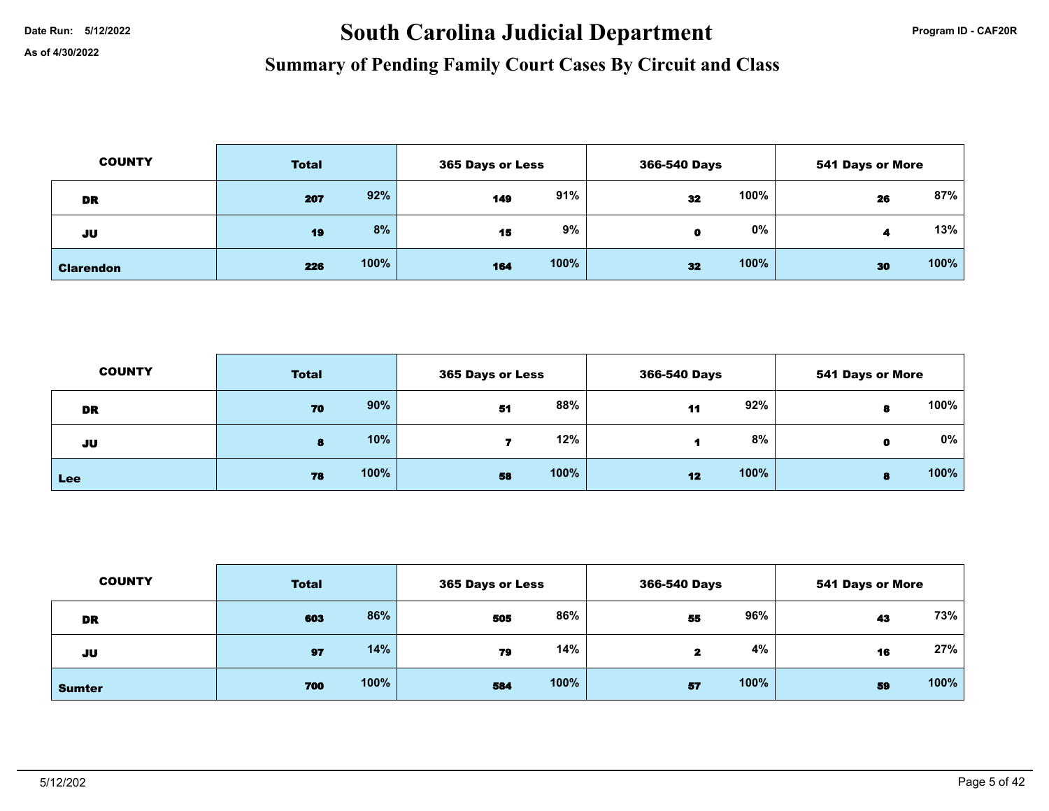# Date Run: 5/12/2022 **Program ID - CAF20R** South Carolina Judicial Department

| <b>COUNTY</b>    | <b>Total</b> |      |     | 365 Days or Less |    | 366-540 Days |    | <b>541 Days or More</b> |  |
|------------------|--------------|------|-----|------------------|----|--------------|----|-------------------------|--|
| <b>DR</b>        | 207          | 92%  | 149 | 91%              | 32 | 100%         | 26 | 87%                     |  |
| JU               | 19           | 8%   | 15  | 9%               | o  | $0\%$        |    | 13%                     |  |
| <b>Clarendon</b> | 226          | 100% | 164 | 100%             | 32 | 100%         | 30 | 100%                    |  |

| <b>COUNTY</b> | <b>Total</b> |      | 365 Days or Less |      | 366-540 Days |      | <b>541 Days or More</b> |      |
|---------------|--------------|------|------------------|------|--------------|------|-------------------------|------|
| DR            | 70           | 90%  | 51               | 88%  | 11           | 92%  |                         | 100% |
| JU            | 8            | 10%  |                  | 12%  |              | 8%   |                         | 0%   |
| Lee           | 78           | 100% | 58               | 100% | 12           | 100% | я                       | 100% |

| <b>COUNTY</b> | <b>Total</b> |      |     | <b>365 Days or Less</b> |    | 366-540 Days |    | <b>541 Days or More</b> |  |
|---------------|--------------|------|-----|-------------------------|----|--------------|----|-------------------------|--|
| <b>DR</b>     | 603          | 86%  | 505 | 86%                     | 55 | 96%          | 43 | 73%                     |  |
| JU            | 97           | 14%  | 79  | 14%                     | 2  | 4%           | 16 | 27%                     |  |
| <b>Sumter</b> | 700          | 100% | 584 | 100%                    | 57 | 100%         | 59 | 100%                    |  |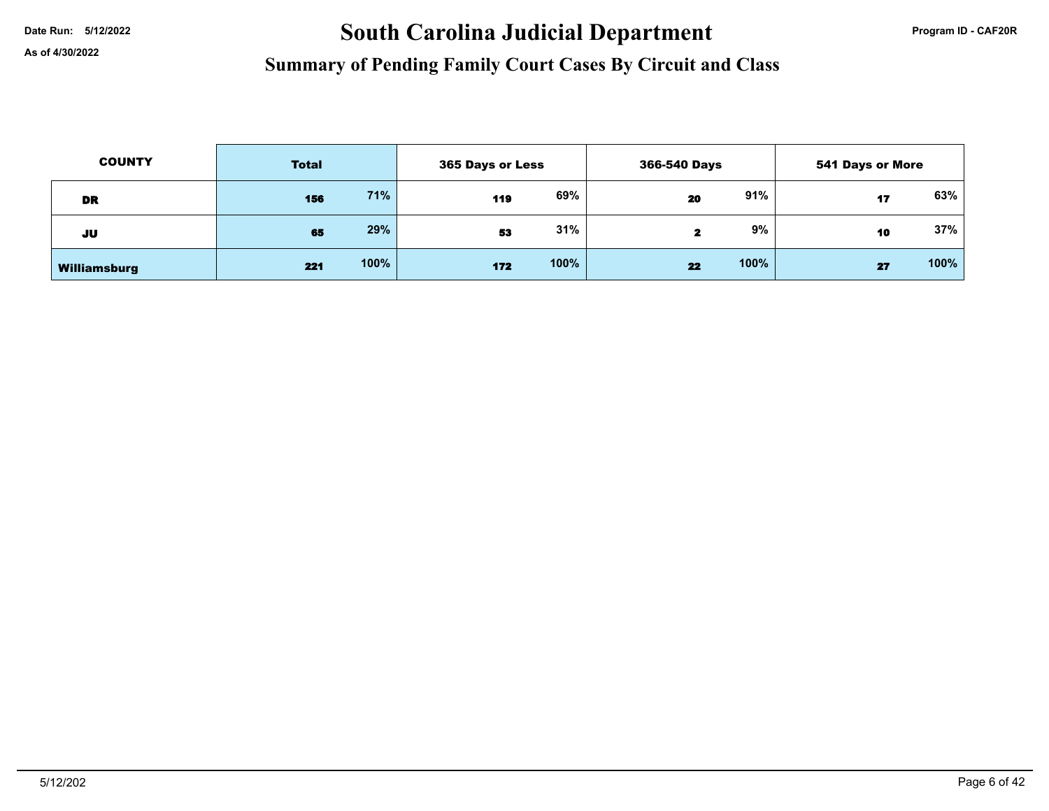# Date Run: 5/12/2022 **Program ID - CAF20R** South Carolina Judicial Department

| <b>COUNTY</b> | <b>Total</b> |      |     | 365 Days or Less |    | 366-540 Days |    | 541 Days or More |  |
|---------------|--------------|------|-----|------------------|----|--------------|----|------------------|--|
| <b>DR</b>     | 156          | 71%  | 119 | 69%              | 20 | 91%          | 17 | 63%              |  |
| JU            | 65           | 29%  | 53  | 31%              | 2  | 9%           | 10 | $37\%$           |  |
| Williamsburg  | 221          | 100% | 172 | 100%             | 22 | 100%         | 27 | 100%             |  |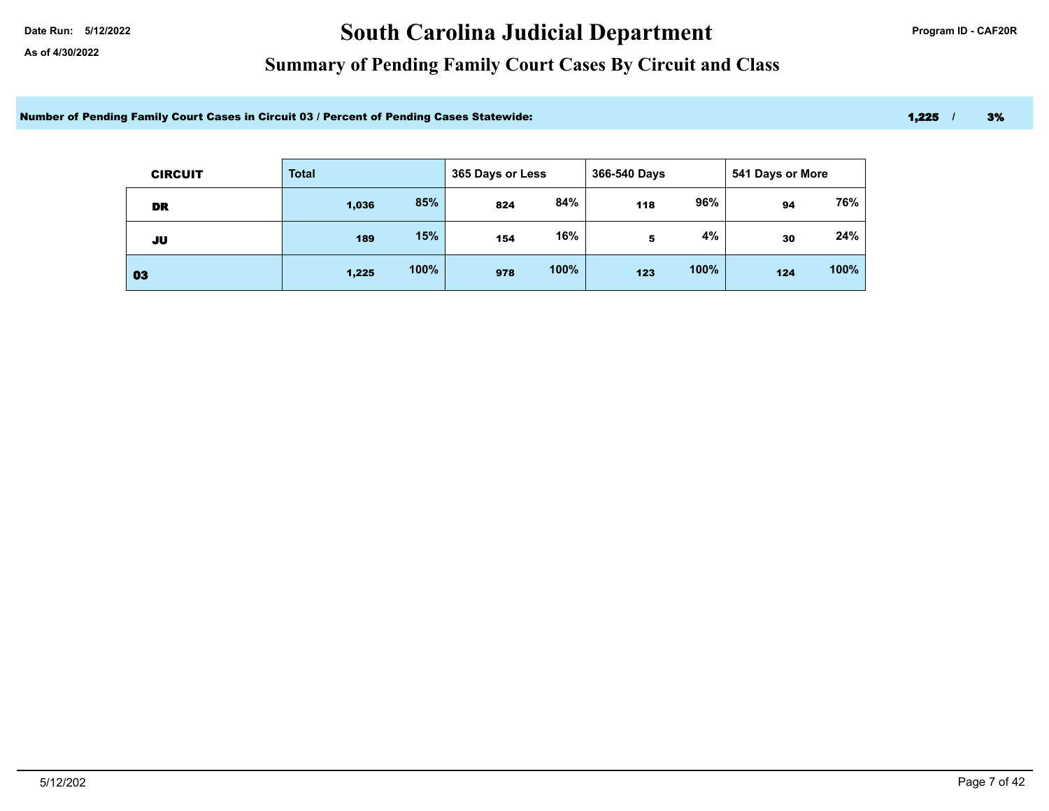## Date Run: 5/12/2022 **Date Run: 5/12/2022** Program ID - CAF20R

### **Summary of Pending Family Court Cases By Circuit and Class**

Number of Pending Family Court Cases in Circuit 03 / Percent of Pending Cases Statewide: 1,225 / 3% 1,225 / 3%

| <b>CIRCUIT</b> | <b>Total</b> |      | 365 Days or Less |      | 366-540 Days |      | 541 Days or More |      |
|----------------|--------------|------|------------------|------|--------------|------|------------------|------|
| DR             | 1,036        | 85%  | 824              | 84%  | 118          | 96%  | 94               | 76%  |
| JU             | 189          | 15%  | 154              | 16%  | 5            | 4%   | 30               | 24%  |
| 03             | 1,225        | 100% | 978              | 100% | 123          | 100% | 124              | 100% |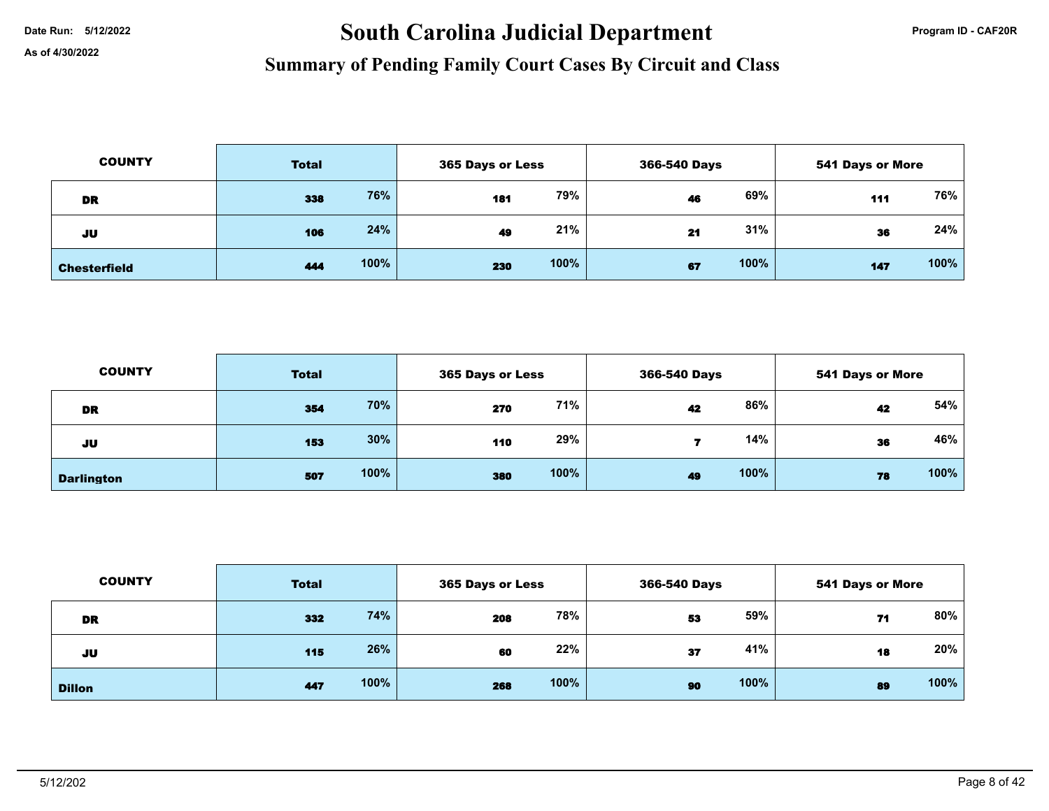# Date Run: 5/12/2022 **Program ID - CAF20R** South Carolina Judicial Department

| <b>COUNTY</b>       | <b>Total</b> |      |     | 365 Days or Less |    | 366-540 Days |     | <b>541 Days or More</b> |  |
|---------------------|--------------|------|-----|------------------|----|--------------|-----|-------------------------|--|
| DR                  | 338          | 76%  | 181 | 79%              | 46 | 69%          | 111 | 76%                     |  |
| JU                  | 106          | 24%  | 49  | 21%              | 21 | 31%          | 36  | 24%                     |  |
| <b>Chesterfield</b> | 444          | 100% | 230 | 100%             | 67 | 100%         | 147 | 100%                    |  |

| <b>COUNTY</b>     | <b>Total</b> | 365 Days or Less | 366-540 Days | <b>541 Days or More</b> |
|-------------------|--------------|------------------|--------------|-------------------------|
| <b>DR</b>         | 70%          | 71%              | 86%          | 54%                     |
|                   | 354          | 270              | 42           | 42                      |
| JU                | 30%<br>153   | 29%<br>110       | 14%          | 46%<br>36               |
| <b>Darlington</b> | 100%         | 100%             | 100%         | 100%                    |
|                   | 507          | 380              | 49           | 78                      |

| <b>COUNTY</b> | <b>Total</b> |      | <b>365 Days or Less</b> |      | 366-540 Days |      | <b>541 Days or More</b> |      |
|---------------|--------------|------|-------------------------|------|--------------|------|-------------------------|------|
| <b>DR</b>     | 332          | 74%  | 208                     | 78%  | 53           | 59%  | 71                      | 80%  |
| JU            | 115          | 26%  | 60                      | 22%  | 37           | 41%  | 18                      | 20%  |
| <b>Dillon</b> | 447          | 100% | 268                     | 100% | 90           | 100% | 89                      | 100% |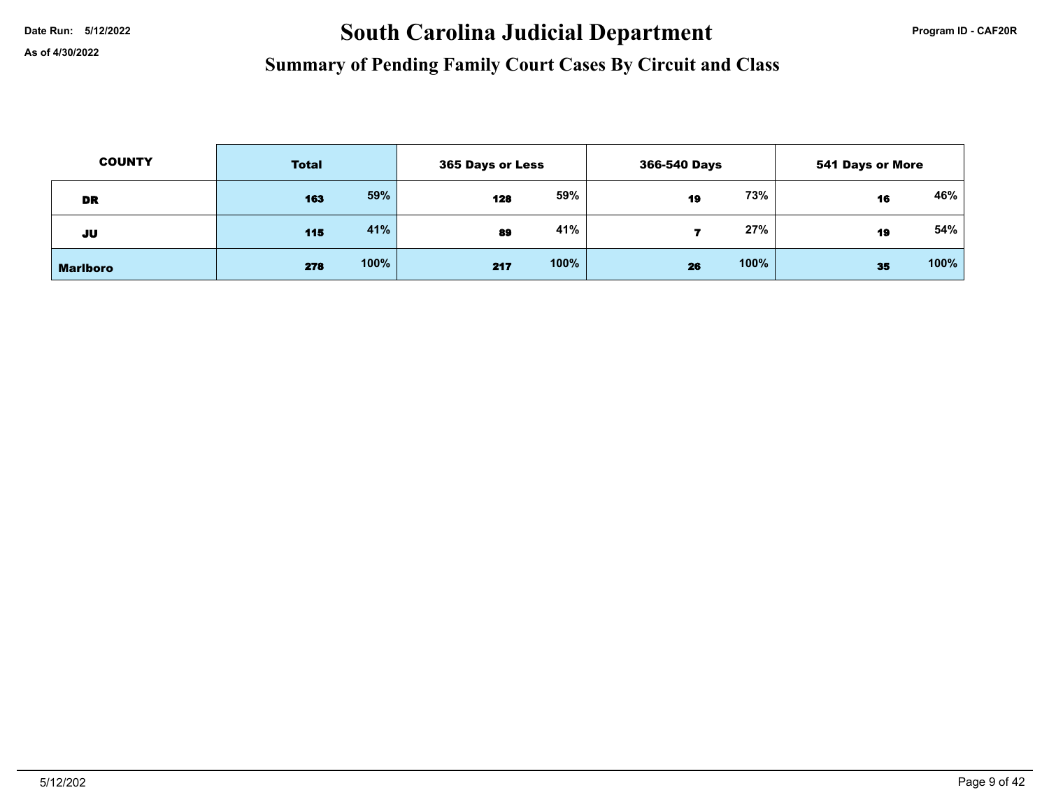# Date Run: 5/12/2022 **Program ID - CAF20R** South Carolina Judicial Department

| <b>COUNTY</b>   | <b>Total</b> |      | 365 Days or Less |      | 366-540 Days |      | 541 Days or More |        |
|-----------------|--------------|------|------------------|------|--------------|------|------------------|--------|
| <b>DR</b>       | 163          | 59%  | 128              | 59%  | 19           | 73%  | 16               | 46%    |
| JU              | 115          | 41%  | 89               | 41%  |              | 27%  | 19               | $54\%$ |
| <b>Marlboro</b> | 278          | 100% | 217              | 100% | 26           | 100% | 35               | 100%   |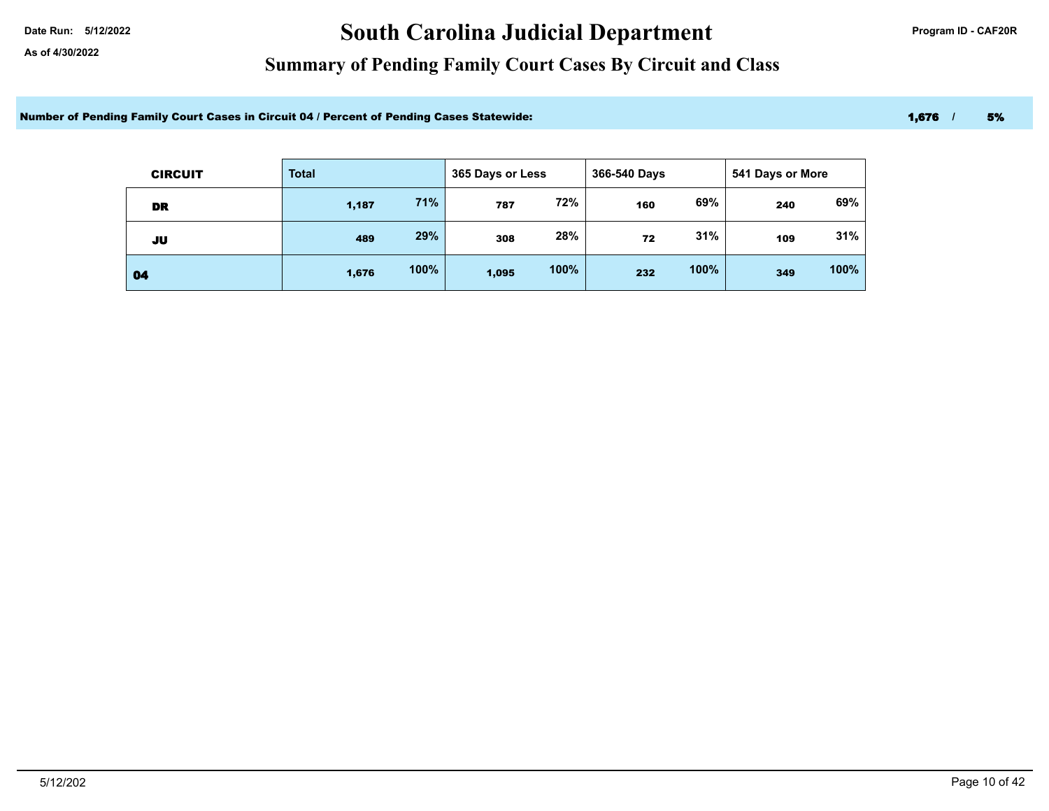## Date Run: 5/12/2022 **Date Run: 5/12/2022** Program ID - CAF20R

### **Summary of Pending Family Court Cases By Circuit and Class**

Number of Pending Family Court Cases in Circuit 04 / Percent of Pending Cases Statewide: 1,676 / 5% 1,676 / 5%

| <b>CIRCUIT</b> | <b>Total</b> |      | 365 Days or Less |      | 366-540 Days |      | 541 Days or More |      |
|----------------|--------------|------|------------------|------|--------------|------|------------------|------|
| DR             | 1,187        | 71%  | 787              | 72%  | 160          | 69%  | 240              | 69%  |
| JU             | 489          | 29%  | 308              | 28%  | 72           | 31%  | 109              | 31%  |
| 04             | 1,676        | 100% | 1,095            | 100% | 232          | 100% | 349              | 100% |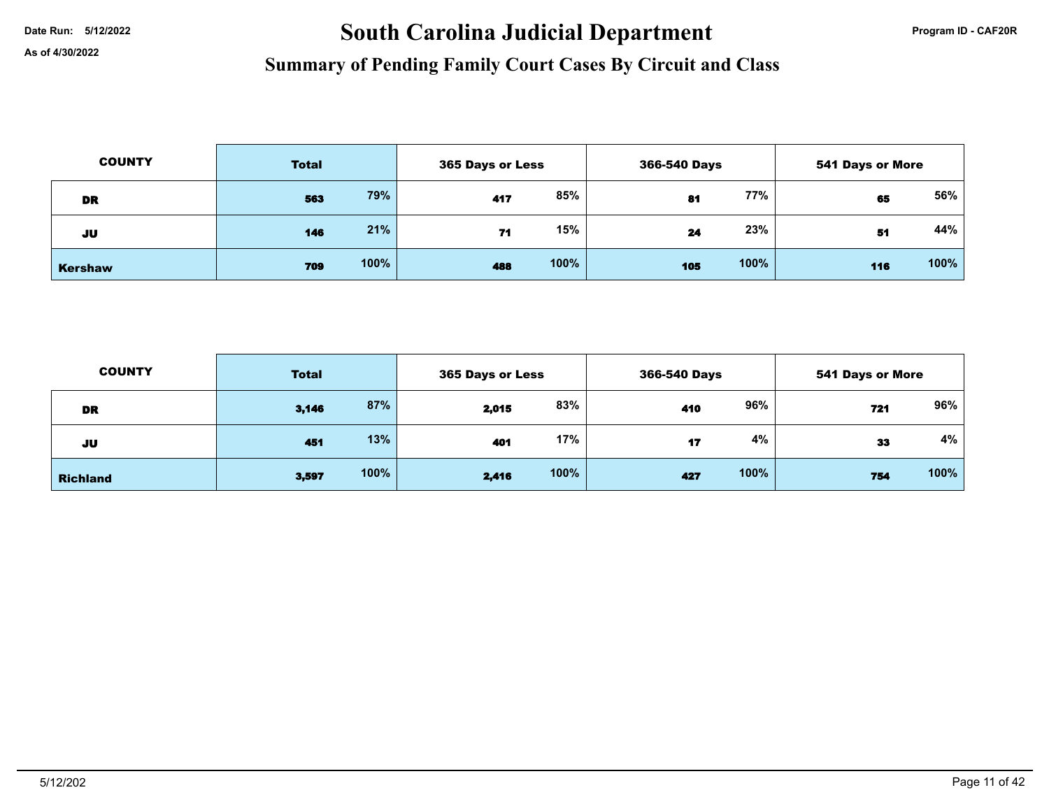# Date Run: 5/12/2022 **Program ID - CAF20R** South Carolina Judicial Department

| <b>COUNTY</b>  | <b>Total</b> |      |     | 365 Days or Less |     | 366-540 Days |     | 541 Days or More |  |
|----------------|--------------|------|-----|------------------|-----|--------------|-----|------------------|--|
| DR             | 563          | 79%  | 417 | 85%              | 81  | 77%          | 65  | 56%              |  |
| JU             | 146          | 21%  | 71  | 15%              | 24  | 23%          | 51  | 44%              |  |
| <b>Kershaw</b> | 709          | 100% | 488 | 100%             | 105 | 100%         | 116 | 100%             |  |

| <b>COUNTY</b>   | <b>Total</b> |      | 365 Days or Less |      | 366-540 Days |      | 541 Days or More |      |
|-----------------|--------------|------|------------------|------|--------------|------|------------------|------|
| DR              | 3,146        | 87%  | 2,015            | 83%  | 410          | 96%  | 721              | 96%  |
| JU              | 451          | 13%  | 401              | 17%  | 17           | 4%   | 33               | 4%   |
| <b>Richland</b> | 3,597        | 100% | 2,416            | 100% | 427          | 100% | 754              | 100% |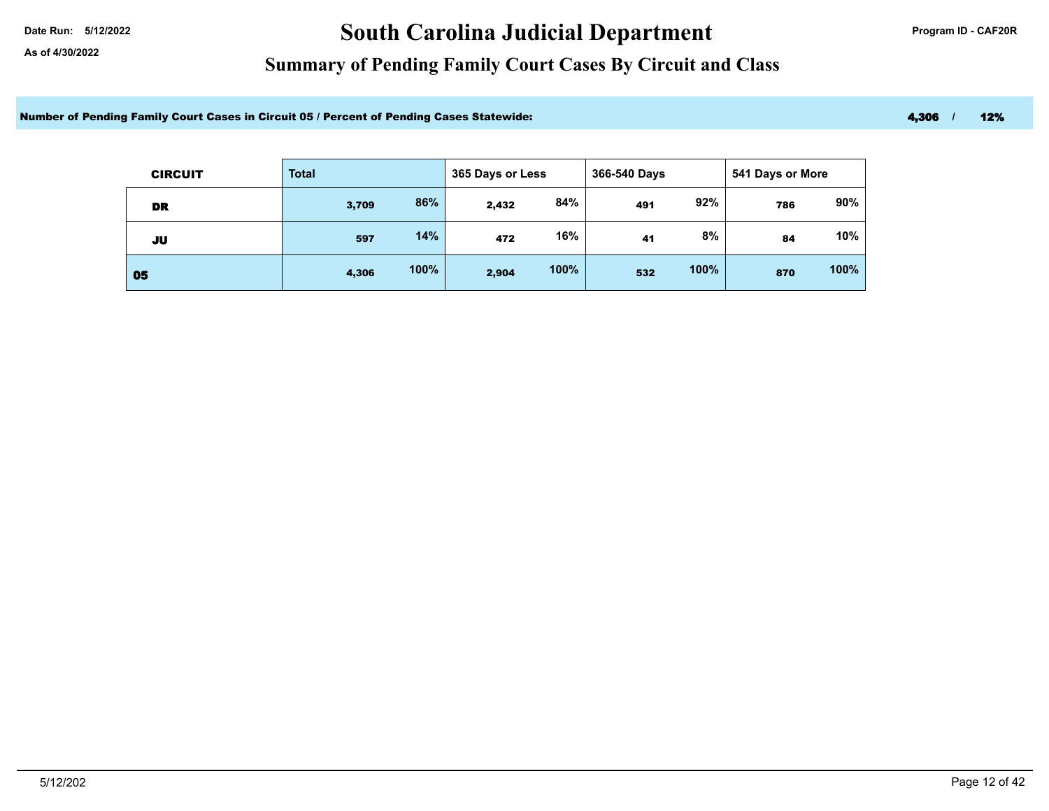## Date Run: 5/12/2022 **Date Run: 5/12/2022** Program ID - CAF20R

### **Summary of Pending Family Court Cases By Circuit and Class**

Number of Pending Family Court Cases in Circuit 05 / Percent of Pending Cases Statewide: 4,306 / 12%

| <b>CIRCUIT</b> | <b>Total</b> |      | 365 Days or Less |      | 366-540 Days |      | 541 Days or More |      |
|----------------|--------------|------|------------------|------|--------------|------|------------------|------|
| DR             | 3,709        | 86%  | 2,432            | 84%  | 491          | 92%  | 786              | 90%  |
| JU             | 597          | 14%  | 472              | 16%  | 41           | 8%   | 84               | 10%  |
| 05             | 4,306        | 100% | 2,904            | 100% | 532          | 100% | 870              | 100% |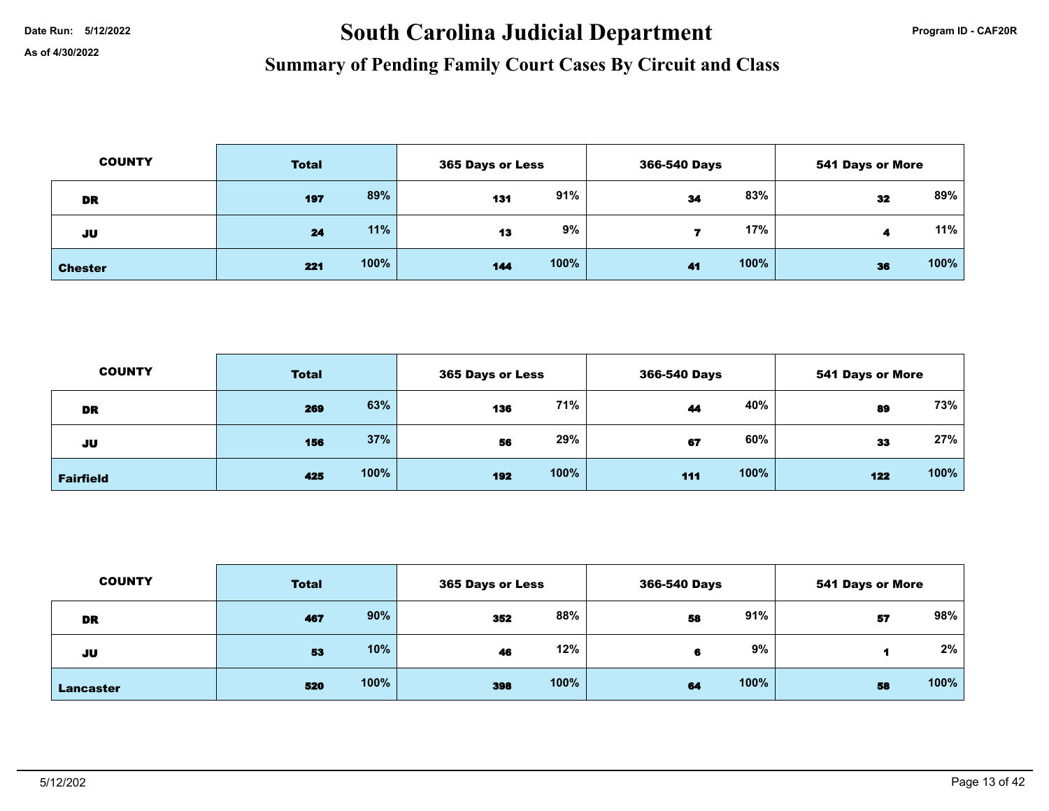# Date Run: 5/12/2022 **Program ID - CAF20R** South Carolina Judicial Department

| <b>COUNTY</b>  | <b>Total</b> |      |     | 365 Days or Less |    | 366-540 Days |    | <b>541 Days or More</b> |  |
|----------------|--------------|------|-----|------------------|----|--------------|----|-------------------------|--|
| <b>DR</b>      | 197          | 89%  | 131 | 91%              | 34 | 83%          | 32 | 89%                     |  |
| JU             | 24           | 11%  | 13  | 9%               |    | 17%          |    | 11%                     |  |
| <b>Chester</b> | 221          | 100% | 144 | 100%             | 41 | 100%         | 36 | 100%                    |  |

| <b>COUNTY</b>    | <b>Total</b> |     | 365 Days or Less |     | 366-540 Days |     | <b>541 Days or More</b> |  |
|------------------|--------------|-----|------------------|-----|--------------|-----|-------------------------|--|
| <b>DR</b>        | 63%<br>269   | 136 | 71%              | 44  | 40%          | 89  | 73%                     |  |
| JU               | 37%<br>156   | 56  | 29%              | 67  | 60%          | 33  | 27%                     |  |
| <b>Fairfield</b> | 100%<br>425  | 192 | 100%             | 111 | 100%         | 122 | 100%                    |  |

| <b>COUNTY</b> | <b>Total</b> |      | 365 Days or Less |      | 366-540 Days |      | <b>541 Days or More</b> |      |
|---------------|--------------|------|------------------|------|--------------|------|-------------------------|------|
| <b>DR</b>     | 467          | 90%  | 352              | 88%  | 58           | 91%  | 57                      | 98%  |
| JU            | 53           | 10%  | 46               | 12%  | 6            | 9%   |                         | 2%   |
| Lancaster     | 520          | 100% | 398              | 100% | 64           | 100% | 58                      | 100% |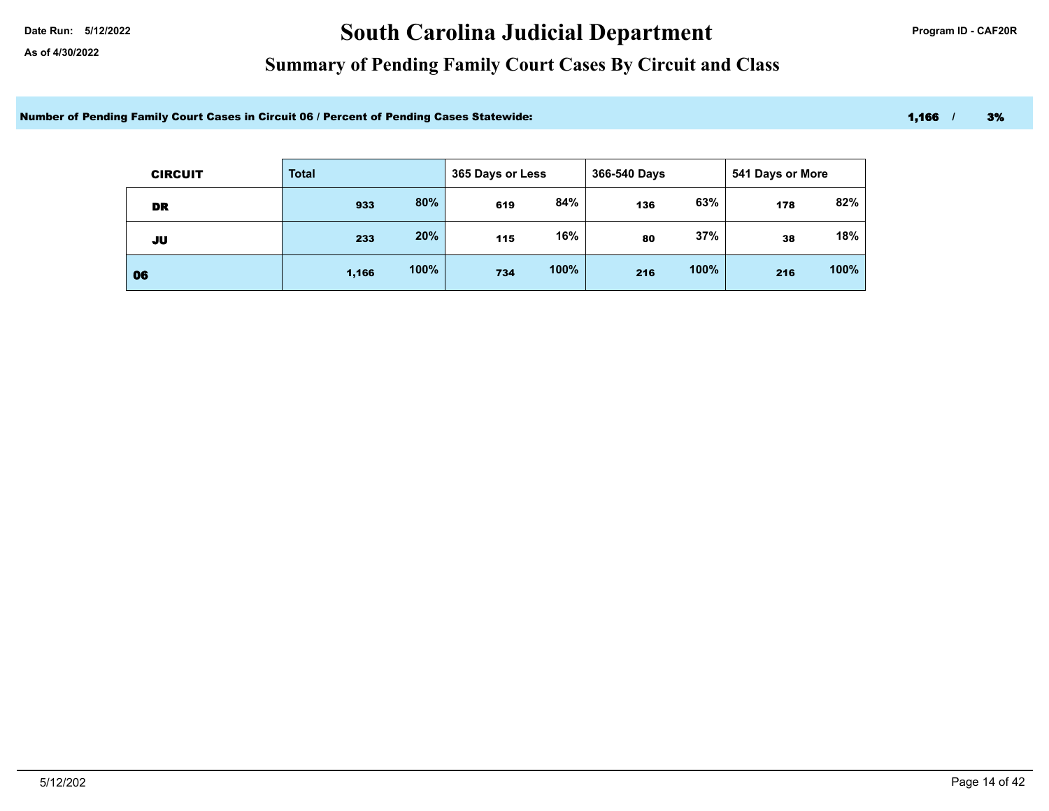## Date Run: 5/12/2022 **Date Run: 5/12/2022** Program ID - CAF20R

### **Summary of Pending Family Court Cases By Circuit and Class**

Number of Pending Family Court Cases in Circuit 06 / Percent of Pending Cases Statewide: 1,166 1,166 1,166 1,166 1,166 1,166 1,166 1,166 1,166 1,166 1,166 1,166 1,166 1,166 1,166 1,166 1,166 1,166 1,166 1,166 1,166 1,166 1

| <b>CIRCUIT</b> | <b>Total</b> |      | 365 Days or Less |      | 366-540 Days |      | 541 Days or More |      |
|----------------|--------------|------|------------------|------|--------------|------|------------------|------|
| DR             | 933          | 80%  | 619              | 84%  | 136          | 63%  | 178              | 82%  |
| JU             | 233          | 20%  | 115              | 16%  | 80           | 37%  | 38               | 18%  |
| 06             | 1,166        | 100% | 734              | 100% | 216          | 100% | 216              | 100% |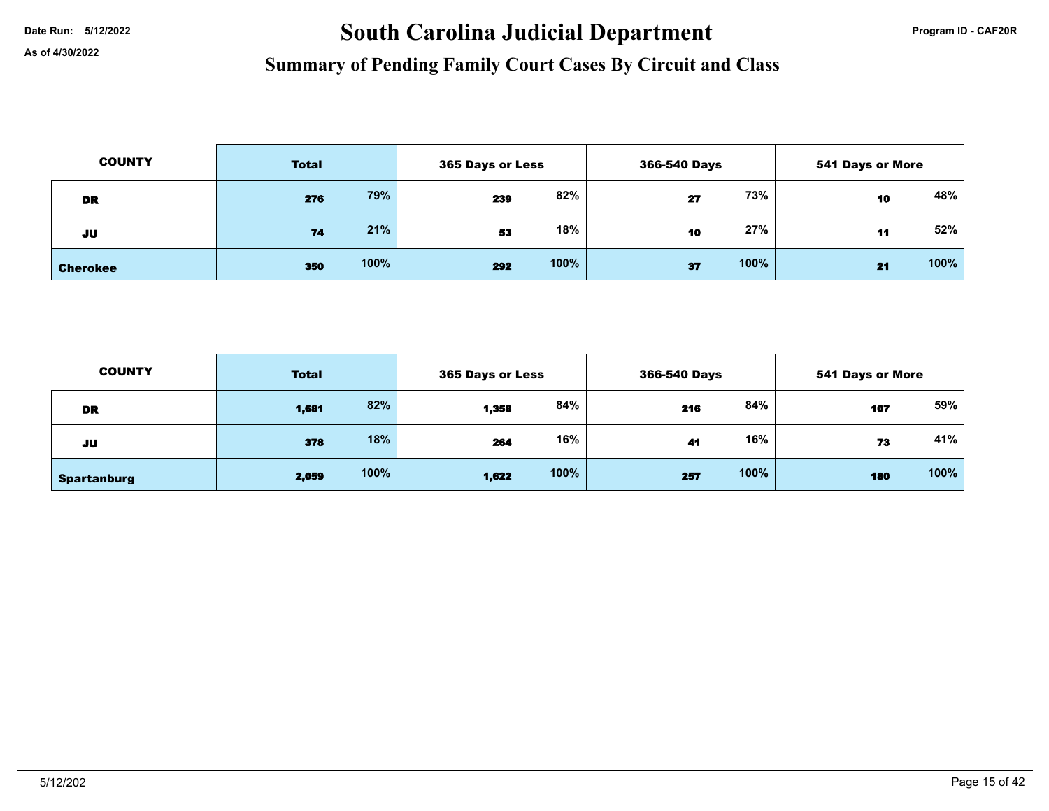# Date Run: 5/12/2022 **Program ID - CAF20R** South Carolina Judicial Department

| <b>COUNTY</b>   | <b>Total</b> |      |     | 365 Days or Less |    | 366-540 Days |    | <b>541 Days or More</b> |  |
|-----------------|--------------|------|-----|------------------|----|--------------|----|-------------------------|--|
| <b>DR</b>       | 276          | 79%  | 239 | 82%              | 27 | 73%          | 10 | 48%                     |  |
| JU              | 74           | 21%  | 53  | 18%              | 10 | 27%          | 11 | 52%                     |  |
| <b>Cherokee</b> | 350          | 100% | 292 | 100%             | 37 | 100%         | 21 | 100%                    |  |

| <b>COUNTY</b>      | <b>Total</b> |      |       | 365 Days or Less |     | 366-540 Days | <b>541 Days or More</b> |      |
|--------------------|--------------|------|-------|------------------|-----|--------------|-------------------------|------|
| DR                 | 1,681        | 82%  | 1,358 | 84%              | 216 | 84%          | 107                     | 59%  |
| JU                 | 378          | 18%  | 264   | 16%              | 41  | 16%          | 73                      | 41%  |
| <b>Spartanburg</b> | 2,059        | 100% | 1,622 | 100%             | 257 | 100%         | 180                     | 100% |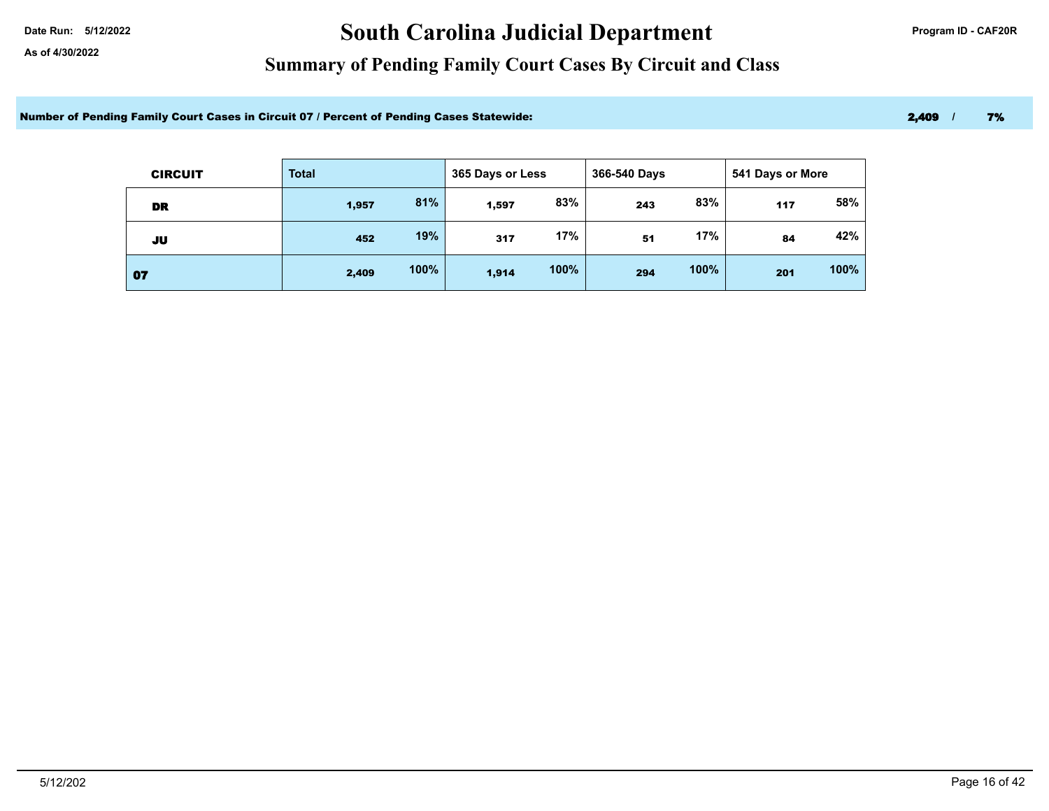## Date Run: 5/12/2022 **Date Run: 5/12/2022** Program ID - CAF20R

### **Summary of Pending Family Court Cases By Circuit and Class**

Number of Pending Family Court Cases in Circuit 07 / Percent of Pending Cases Statewide: 2,409 / 2,409 / 7%

| <b>CIRCUIT</b> | <b>Total</b> |      | 365 Days or Less |      | 366-540 Days |      | 541 Days or More |      |
|----------------|--------------|------|------------------|------|--------------|------|------------------|------|
| DR             | 1,957        | 81%  | 1,597            | 83%  | 243          | 83%  | 117              | 58%  |
| JU             | 452          | 19%  | 317              | 17%  | 51           | 17%  | 84               | 42%  |
| 07             | 2,409        | 100% | 1,914            | 100% | 294          | 100% | 201              | 100% |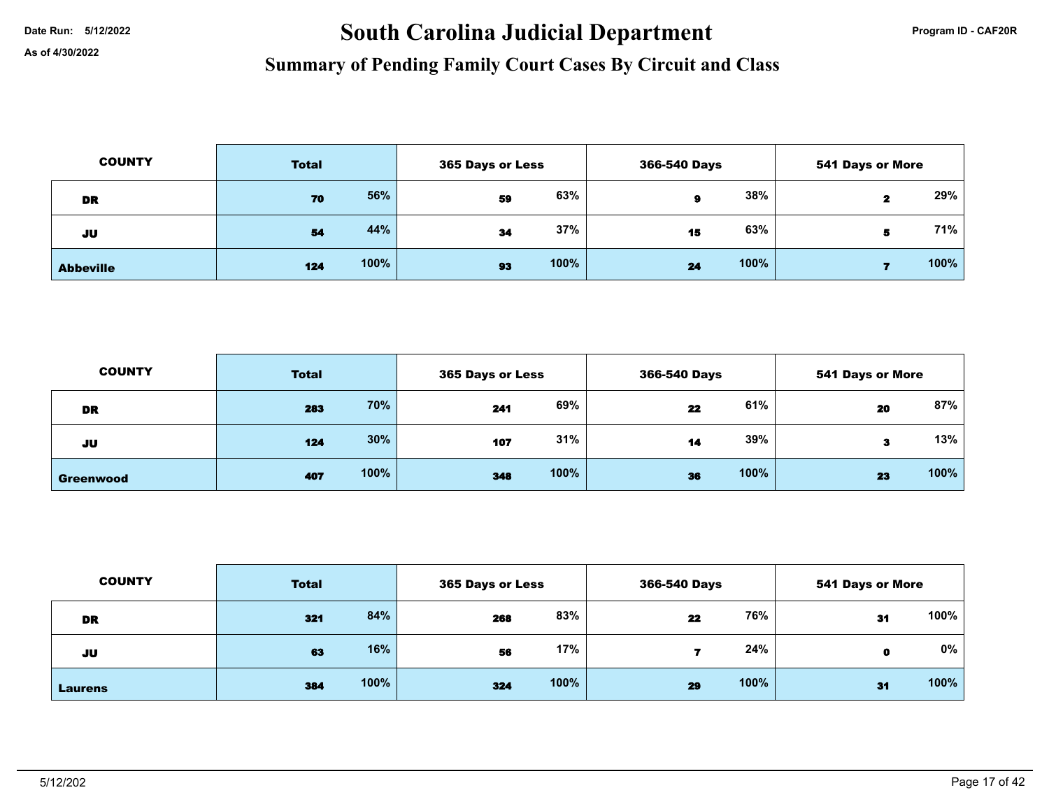# Date Run: 5/12/2022 **Program ID - CAF20R** South Carolina Judicial Department

| <b>COUNTY</b>    | <b>Total</b> |      | 365 Days or Less |      | 366-540 Days |      | <b>541 Days or More</b> |      |
|------------------|--------------|------|------------------|------|--------------|------|-------------------------|------|
| DR               | 70           | 56%  | 59               | 63%  |              | 38%  | 2                       | 29%  |
| JU               | 54           | 44%  | 34               | 37%  | 15           | 63%  | 5                       | 71%  |
| <b>Abbeville</b> | 124          | 100% | 93               | 100% | 24           | 100% |                         | 100% |

| <b>COUNTY</b>    | <b>Total</b> |      | 365 Days or Less |      | 366-540 Days |      | <b>541 Days or More</b> |      |  |
|------------------|--------------|------|------------------|------|--------------|------|-------------------------|------|--|
| DR               | 283          | 70%  | 241              | 69%  | 22           | 61%  | 20                      | 87%  |  |
| JU               | 124          | 30%  | 107              | 31%  | 14           | 39%  |                         | 13%  |  |
| <b>Greenwood</b> | 407          | 100% | 348              | 100% | 36           | 100% | 23                      | 100% |  |

| <b>COUNTY</b>  | <b>Total</b> |      | <b>365 Days or Less</b> |      | 366-540 Days |      | 541 Days or More |      |
|----------------|--------------|------|-------------------------|------|--------------|------|------------------|------|
| <b>DR</b>      | 321          | 84%  | 268                     | 83%  | 22           | 76%  | 31               | 100% |
| JU             | 63           | 16%  | 56                      | 17%  |              | 24%  | $\bullet$        | 0%   |
| <b>Laurens</b> | 384          | 100% | 324                     | 100% | 29           | 100% | 31               | 100% |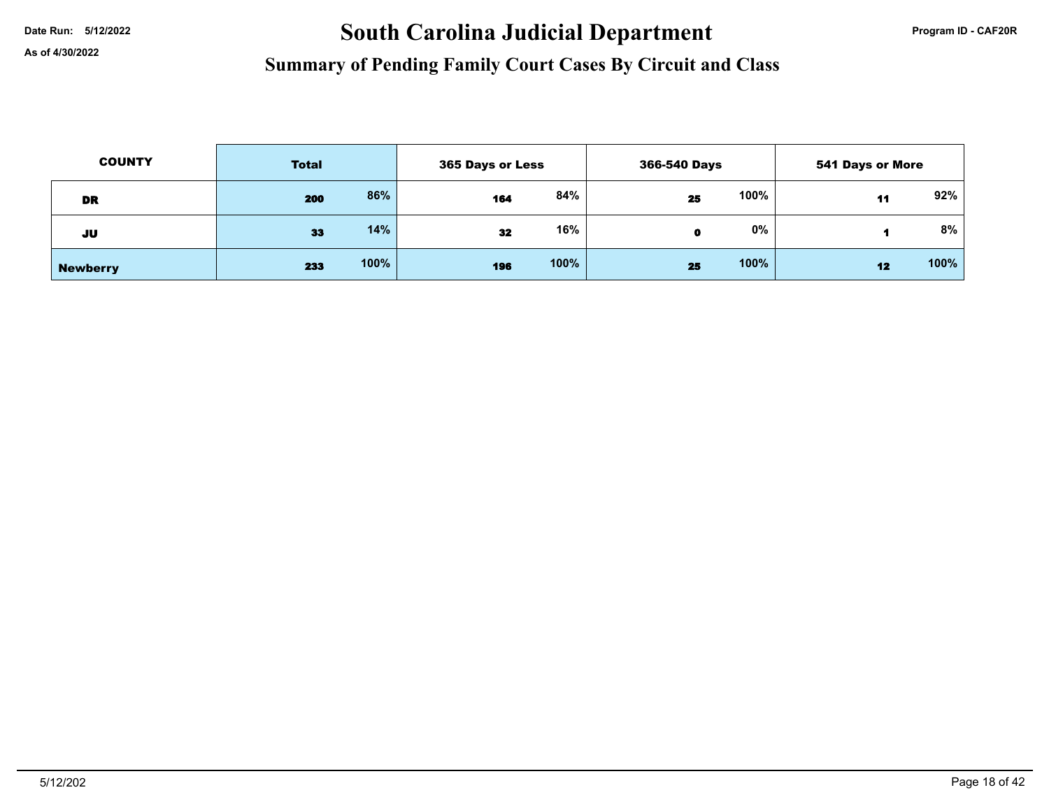# Date Run: 5/12/2022 **Program ID - CAF20R** South Carolina Judicial Department

| <b>COUNTY</b>   | <b>Total</b> |      | 365 Days or Less |      | 366-540 Days |       | 541 Days or More |        |
|-----------------|--------------|------|------------------|------|--------------|-------|------------------|--------|
| <b>DR</b>       | 200          | 86%  | 164              | 84%  | 25           | 100%  | 11               | $92\%$ |
| JU              | 33           | 14%  | 32               | 16%  | $\bullet$    | $0\%$ |                  | $8\%$  |
| <b>Newberry</b> | 233          | 100% | 196              | 100% | 25           | 100%  | 12               | 100%   |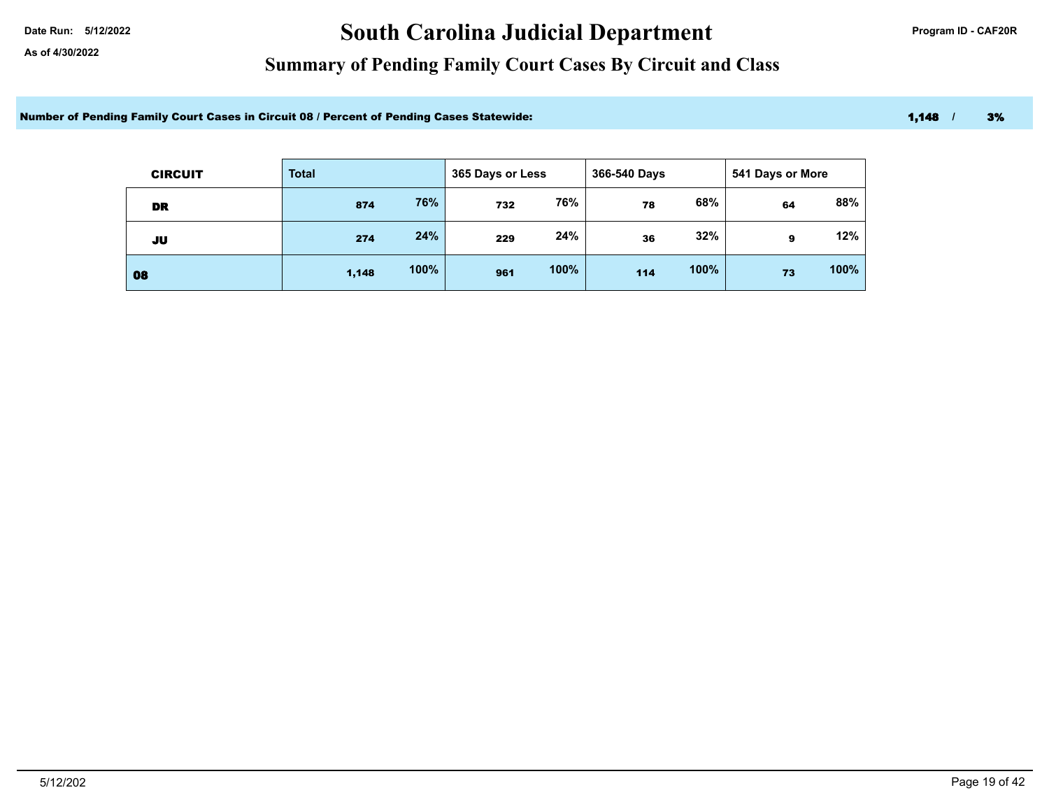## Date Run: 5/12/2022 **Date Run: 5/12/2022** Program ID - CAF20R

### **Summary of Pending Family Court Cases By Circuit and Class**

Number of Pending Family Court Cases in Circuit 08 / Percent of Pending Cases Statewide: 1,148 / 3%

| <b>CIRCUIT</b> | <b>Total</b> |      | 365 Days or Less |      | 366-540 Days |      | 541 Days or More |      |
|----------------|--------------|------|------------------|------|--------------|------|------------------|------|
| DR             | 874          | 76%  | 732              | 76%  | 78           | 68%  | 64               | 88%  |
| JU             | 274          | 24%  | 229              | 24%  | 36           | 32%  | 9                | 12%  |
| 08             | 1,148        | 100% | 961              | 100% | 114          | 100% | 73               | 100% |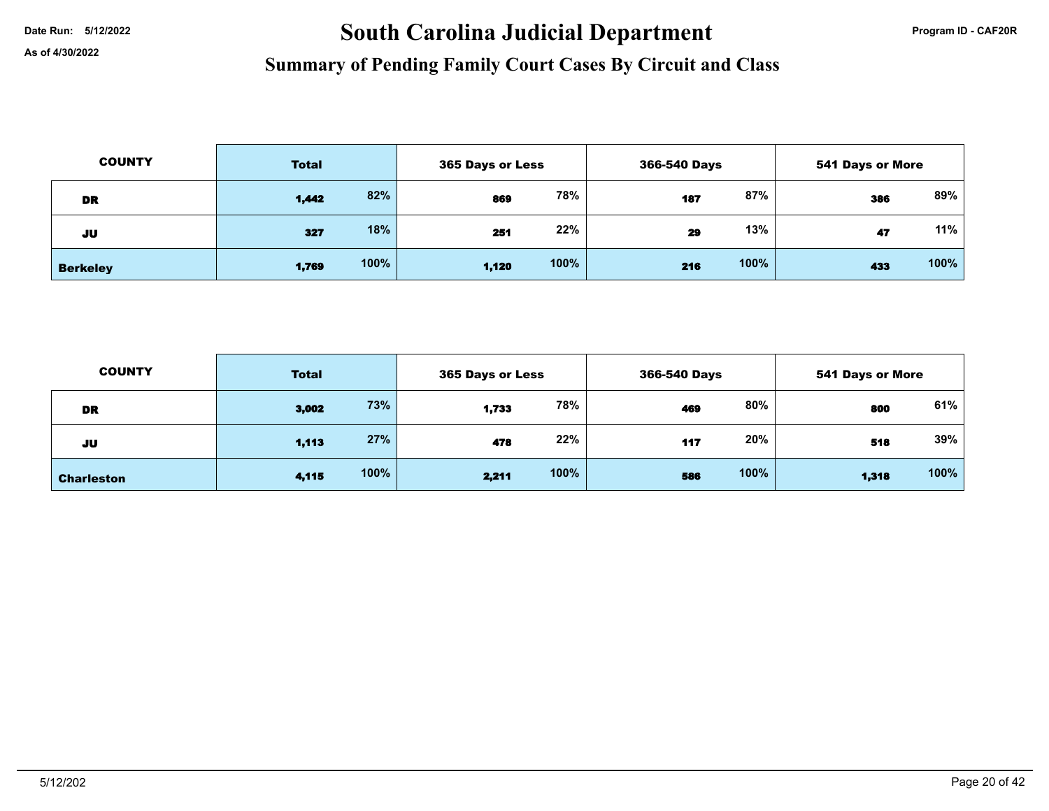# Date Run: 5/12/2022 **Program ID - CAF20R** South Carolina Judicial Department

| <b>COUNTY</b>   | <b>Total</b> |      |       | 365 Days or Less |     | 366-540 Days |     | <b>541 Days or More</b> |  |
|-----------------|--------------|------|-------|------------------|-----|--------------|-----|-------------------------|--|
| DR              | 1,442        | 82%  | 869   | 78%              | 187 | 87%          | 386 | 89%                     |  |
| JU              | 327          | 18%  | 251   | 22%              | 29  | 13%          | 47  | 11%                     |  |
| <b>Berkeley</b> | 1,769        | 100% | 1,120 | 100%             | 216 | 100%         | 433 | 100%                    |  |

| <b>COUNTY</b>     | <b>Total</b> | 365 Days or Less | 366-540 Days | 541 Days or More |  |
|-------------------|--------------|------------------|--------------|------------------|--|
| DR                | 73%          | 78%              | 80%          | 61%              |  |
|                   | 3,002        | 1,733            | 469          | 800              |  |
| JU                | 27%          | 22%              | 20%          | 39%              |  |
|                   | 1,113        | 478              | 117          | 518              |  |
| <b>Charleston</b> | 100%         | 100%             | 100%         | 100%             |  |
|                   | 4,115        | 2,211            | 586          | 1,318            |  |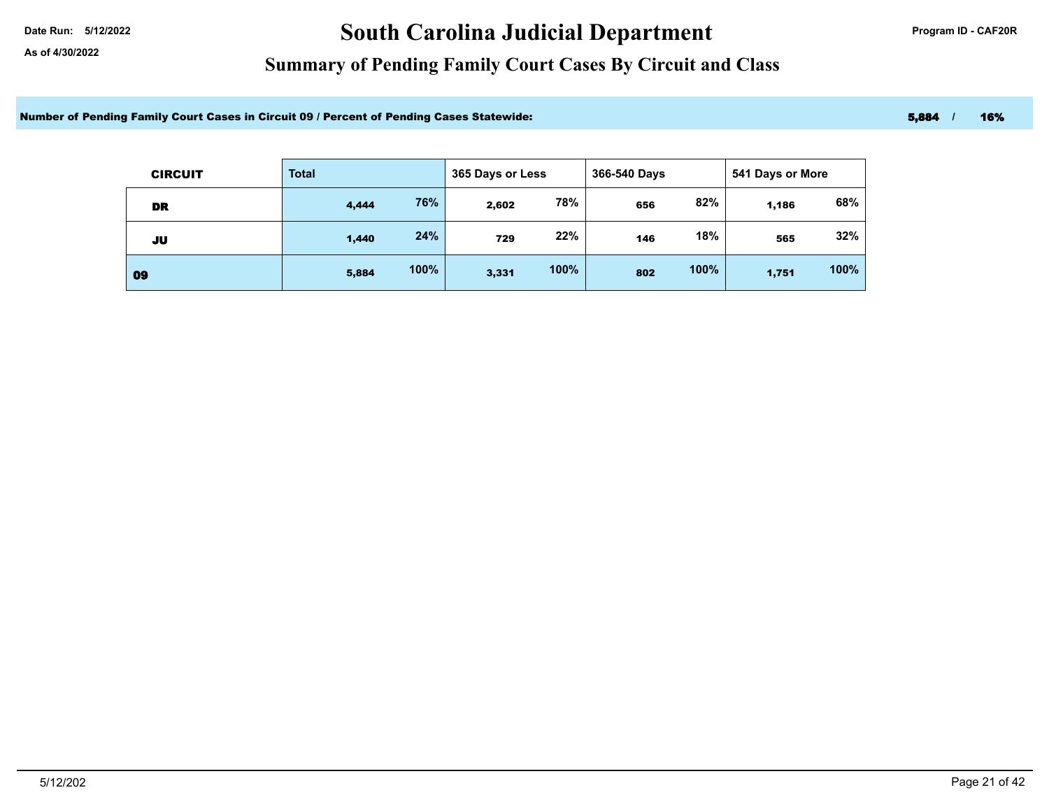## Date Run: 5/12/2022 **Date Run: 5/12/2022** Program ID - CAF20R

### **Summary of Pending Family Court Cases By Circuit and Class**

Number of Pending Family Court Cases in Circuit 09 / Percent of Pending Cases Statewide: 5,884 / 5,884 / 16%

| <b>CIRCUIT</b> | <b>Total</b> |      | 365 Days or Less |      | 366-540 Days |      | 541 Days or More |      |
|----------------|--------------|------|------------------|------|--------------|------|------------------|------|
| DR             | 4,444        | 76%  | 2,602            | 78%  | 656          | 82%  | 1,186            | 68%  |
| JU             | 1,440        | 24%  | 729              | 22%  | 146          | 18%  | 565              | 32%  |
| 09             | 5,884        | 100% | 3,331            | 100% | 802          | 100% | 1,751            | 100% |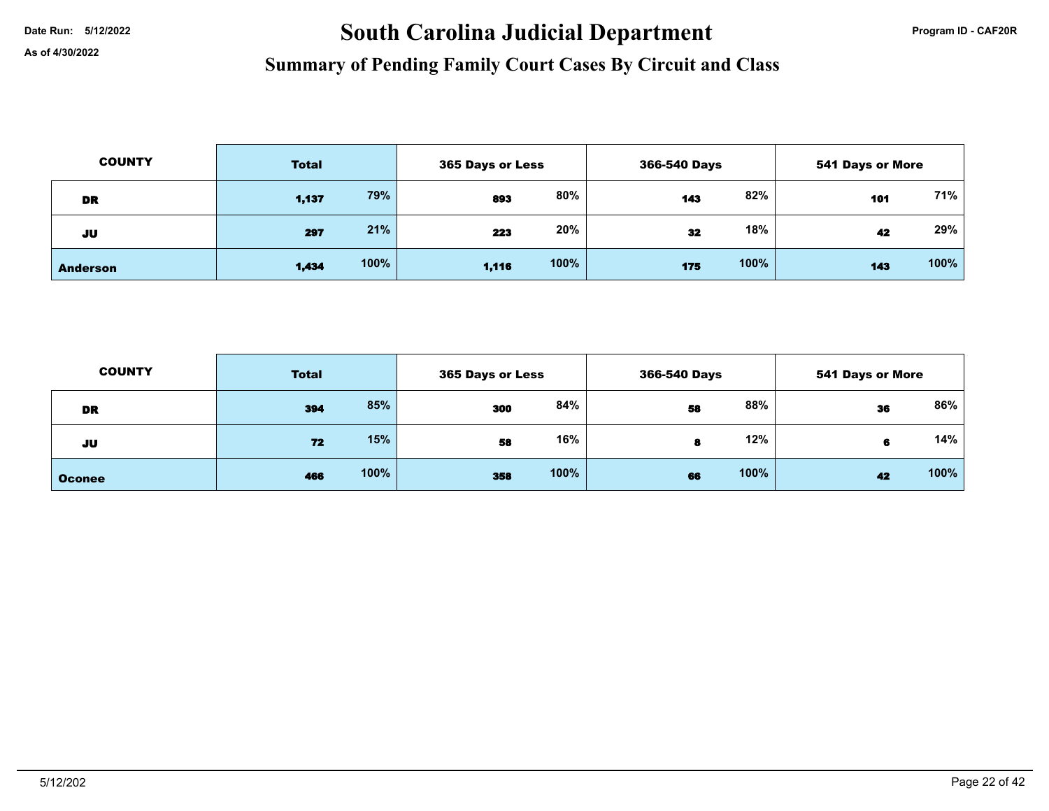# Date Run: 5/12/2022 **Program ID - CAF20R** South Carolina Judicial Department

| <b>COUNTY</b>   | <b>Total</b> |      | 365 Days or Less |      | 366-540 Days |      | <b>541 Days or More</b> |      |
|-----------------|--------------|------|------------------|------|--------------|------|-------------------------|------|
| DR              | 1,137        | 79%  | 893              | 80%  | 143          | 82%  | 101                     | 71%  |
| JU              | 297          | 21%  | 223              | 20%  | 32           | 18%  | 42                      | 29%  |
| <b>Anderson</b> | 1,434        | 100% | 1,116            | 100% | 175          | 100% | 143                     | 100% |

| <b>COUNTY</b> | <b>Total</b> |      |     | 365 Days or Less |    | 366-540 Days |    | <b>541 Days or More</b> |
|---------------|--------------|------|-----|------------------|----|--------------|----|-------------------------|
| DR            | 394          | 85%  | 300 | 84%              | 58 | 88%          | 36 | 86%                     |
| JU            | 72           | 15%  | 58  | 16%              | 8  | 12%          |    | 14%                     |
| <b>Oconee</b> | 466          | 100% | 358 | 100%             | 66 | 100%         | 42 | 100%                    |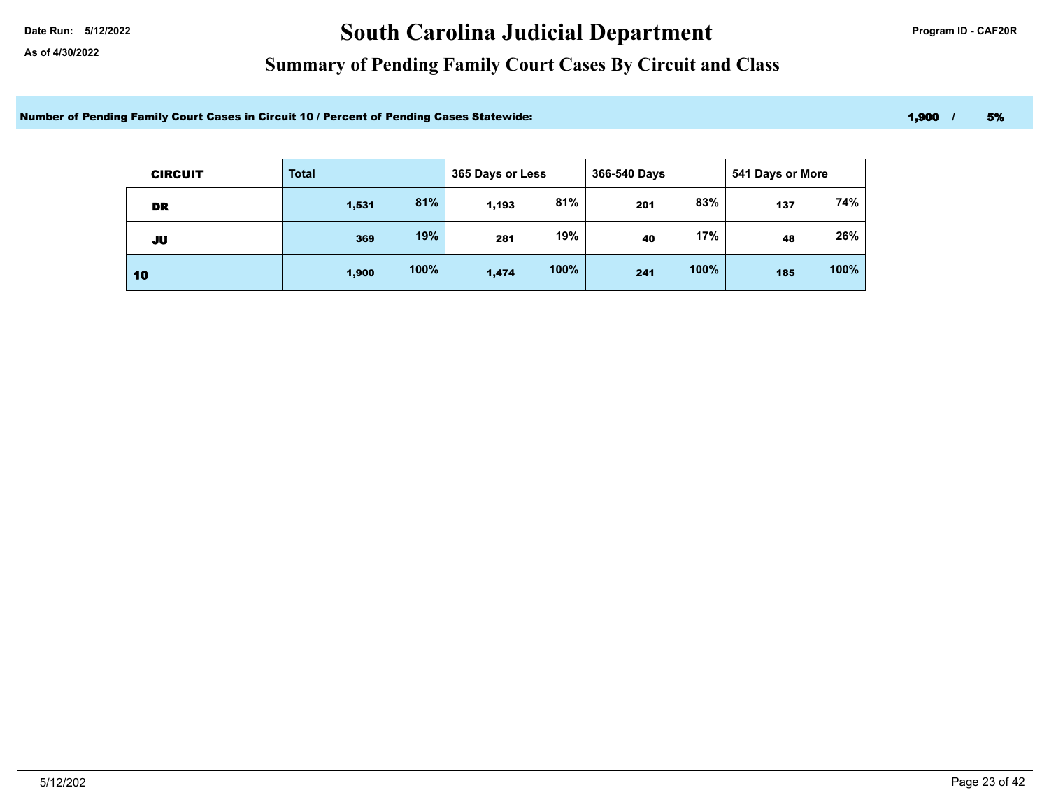## Date Run: 5/12/2022 **Date Run: 5/12/2022** Program ID - CAF20R

### **Summary of Pending Family Court Cases By Circuit and Class**

Number of Pending Family Court Cases in Circuit 10 / Percent of Pending Cases Statewide: 1,900 1, 1,900 1, 1,900 1, 1,900 1, 1,900 1, 1,900 1, 1,900 1, 1,900 1, 1,900 1, 1,900 1, 1,900 1, 1,900 1, 1,900 1, 1,900 1, 1,900 1

| <b>CIRCUIT</b> | <b>Total</b> |      | 365 Days or Less |      | 366-540 Days |      | 541 Days or More |      |
|----------------|--------------|------|------------------|------|--------------|------|------------------|------|
| DR             | 1,531        | 81%  | 1,193            | 81%  | 201          | 83%  | 137              | 74%  |
| JU             | 369          | 19%  | 281              | 19%  | 40           | 17%  | 48               | 26%  |
| 10             | 1,900        | 100% | 1,474            | 100% | 241          | 100% | 185              | 100% |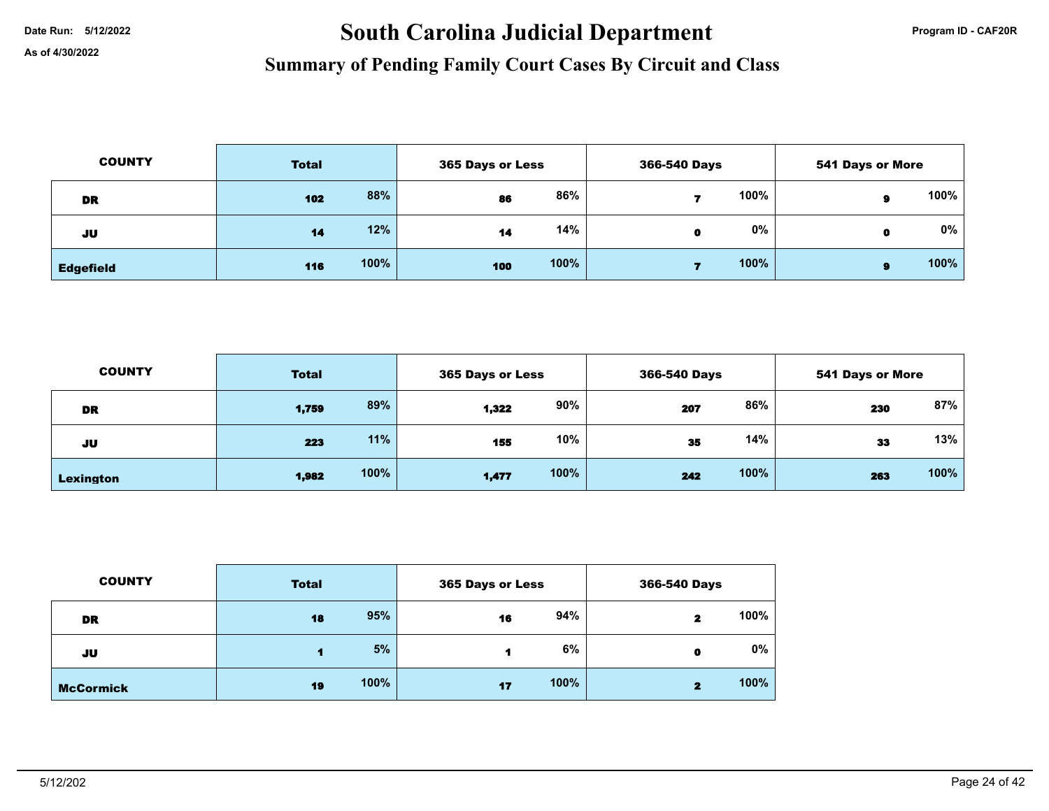## Date Run: 5/12/2022 **Date Run: 5/12/2022** Program ID - CAF20R

| <b>COUNTY</b>    | <b>Total</b> |      |     | 365 Days or Less |   | 366-540 Days |   | <b>541 Days or More</b> |  |
|------------------|--------------|------|-----|------------------|---|--------------|---|-------------------------|--|
| DR               | 102          | 88%  | 86  | 86%              |   | 100%         | я | 100%                    |  |
| JU               | 14           | 12%  | 14  | 14%              | 0 | $0\%$        | O | $0\%$                   |  |
| <b>Edgefield</b> | 116          | 100% | 100 | 100%             |   | 100%         | я | 100%                    |  |

| <b>COUNTY</b> | <b>Total</b> |      |       | <b>365 Days or Less</b> |     | 366-540 Days |     | <b>541 Days or More</b> |
|---------------|--------------|------|-------|-------------------------|-----|--------------|-----|-------------------------|
| DR            | 1,759        | 89%  | 1,322 | 90%                     | 207 | 86%          | 230 | 87%                     |
| JU            | 223          | 11%  | 155   | 10%                     | 35  | 14%          | 33  | 13%                     |
| Lexington     | 1,982        | 100% | 1,477 | 100%                    | 242 | 100%         | 263 | 100%                    |

| <b>COUNTY</b>    | <b>Total</b> |      | 365 Days or Less |      | 366-540 Days |      |
|------------------|--------------|------|------------------|------|--------------|------|
| DR               | 18           | 95%  | 16               | 94%  | 2            | 100% |
| JU               | 4            | 5%   |                  | 6%   | $\bullet$    | 0%   |
| <b>McCormick</b> | 19           | 100% | 17               | 100% | 2            | 100% |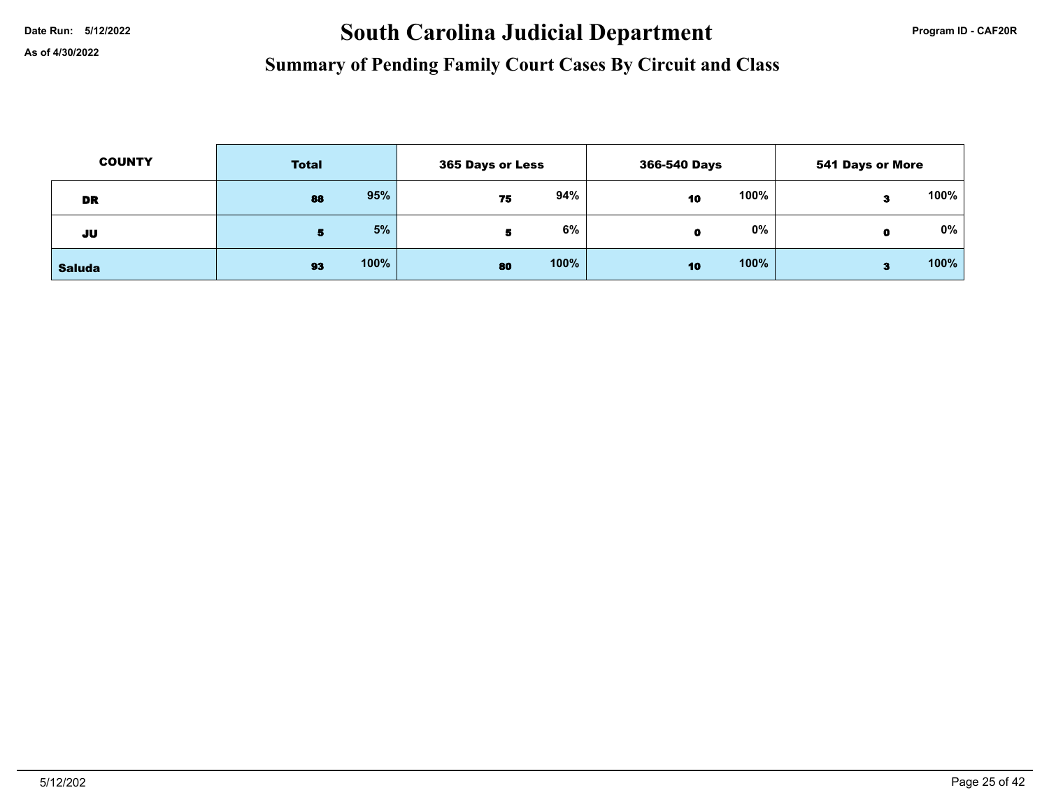# Date Run: 5/12/2022 **Program ID - CAF20R** South Carolina Judicial Department

| <b>COUNTY</b> | <b>Total</b> |      | <b>365 Days or Less</b> |      | 366-540 Days |      | 541 Days or More |      |
|---------------|--------------|------|-------------------------|------|--------------|------|------------------|------|
| <b>DR</b>     | 88           | 95%  | 75                      | 94%  | 10           | 100% |                  | 100% |
| JU            | 5            | 5%   |                         | 6%   |              | 0%   | O                | 0%   |
| <b>Saluda</b> | 93           | 100% | 80                      | 100% | 10           | 100% |                  | 100% |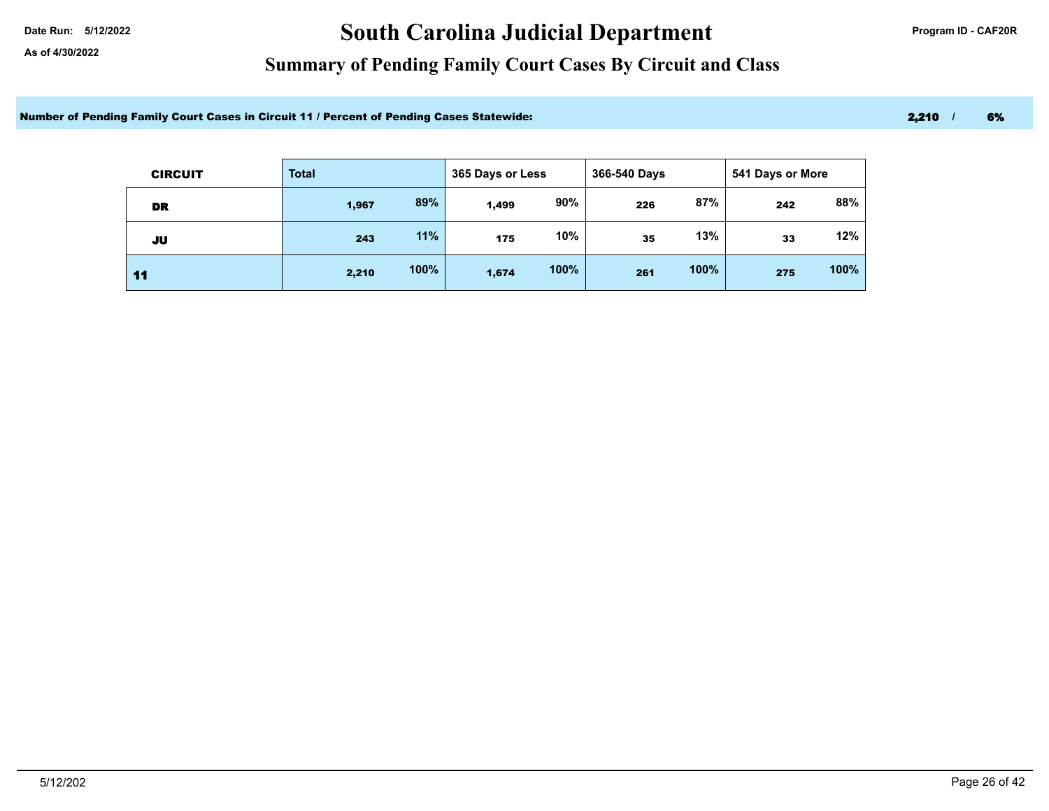## Date Run: 5/12/2022 **Date Run: 5/12/2022** Program ID - CAF20R

### **Summary of Pending Family Court Cases By Circuit and Class**

Number of Pending Family Court Cases in Circuit 11 / Percent of Pending Cases Statewide: 2,210 / 6% 2,210 / 6%

| <b>CIRCUIT</b> | <b>Total</b> |      | 365 Days or Less |      | 366-540 Days |      | 541 Days or More |      |
|----------------|--------------|------|------------------|------|--------------|------|------------------|------|
| DR             | 1,967        | 89%  | 1,499            | 90%  | 226          | 87%  | 242              | 88%  |
| JU             | 243          | 11%  | 175              | 10%  | 35           | 13%  | 33               | 12%  |
| 11             | 2,210        | 100% | 1,674            | 100% | 261          | 100% | 275              | 100% |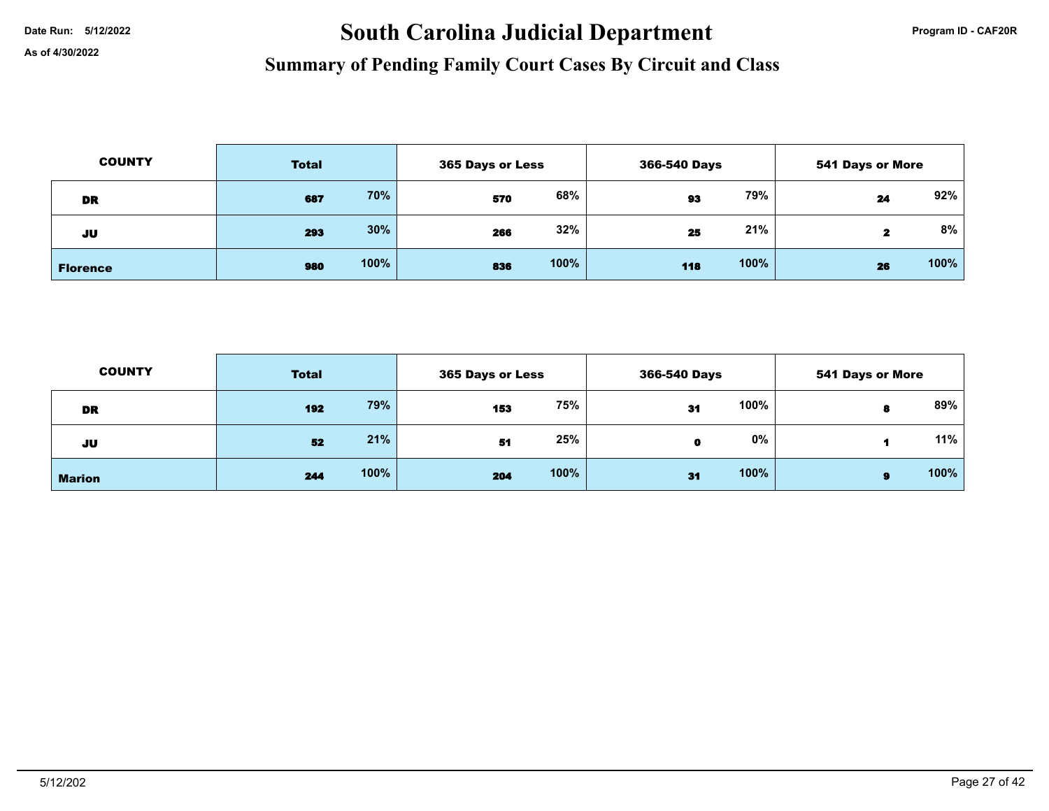# Date Run: 5/12/2022 **Program ID - CAF20R** South Carolina Judicial Department

| <b>COUNTY</b>   | <b>Total</b> |      | 365 Days or Less |      | 366-540 Days |      | <b>541 Days or More</b> |      |
|-----------------|--------------|------|------------------|------|--------------|------|-------------------------|------|
| DR              | 687          | 70%  | 570              | 68%  | 93           | 79%  | 24                      | 92%  |
| JU              | 293          | 30%  | 266              | 32%  | 25           | 21%  | 2                       | 8%   |
| <b>Florence</b> | 980          | 100% | 836              | 100% | 118          | 100% | 26                      | 100% |

| <b>COUNTY</b> | <b>Total</b> | 365 Days or Less | 366-540 Days       | <b>541 Days or More</b> |
|---------------|--------------|------------------|--------------------|-------------------------|
| DR            | 79%<br>192   | 75%<br>153       | 100%<br>31         | 89%                     |
| JU            | 21%<br>52    | 25%<br>51        | 0%<br>$\mathbf{0}$ | 11%                     |
| <b>Marion</b> | 100%<br>244  | 100%<br>204      | 100%<br>31         | 100%<br>s               |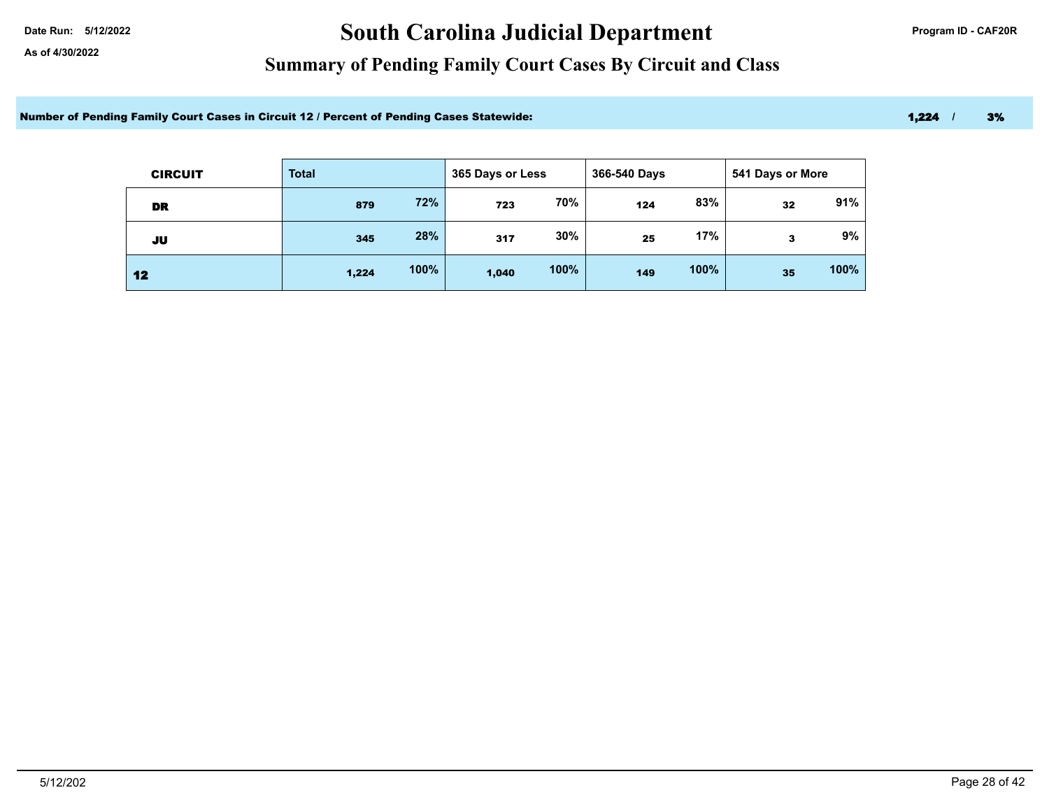## Date Run: 5/12/2022 **Date Run: 5/12/2022** Program ID - CAF20R

### **Summary of Pending Family Court Cases By Circuit and Class**

Number of Pending Family Court Cases in Circuit 12 / Percent of Pending Cases Statewide: 1,200 1,224 / 3%

| <b>CIRCUIT</b> | <b>Total</b> |      | 365 Days or Less |      | 366-540 Days |      | 541 Days or More |      |
|----------------|--------------|------|------------------|------|--------------|------|------------------|------|
| DR             | 879          | 72%  | 723              | 70%  | 124          | 83%  | 32               | 91%  |
| JU             | 345          | 28%  | 317              | 30%  | 25           | 17%  | з                | 9%   |
| 12             | 1,224        | 100% | 1,040            | 100% | 149          | 100% | 35               | 100% |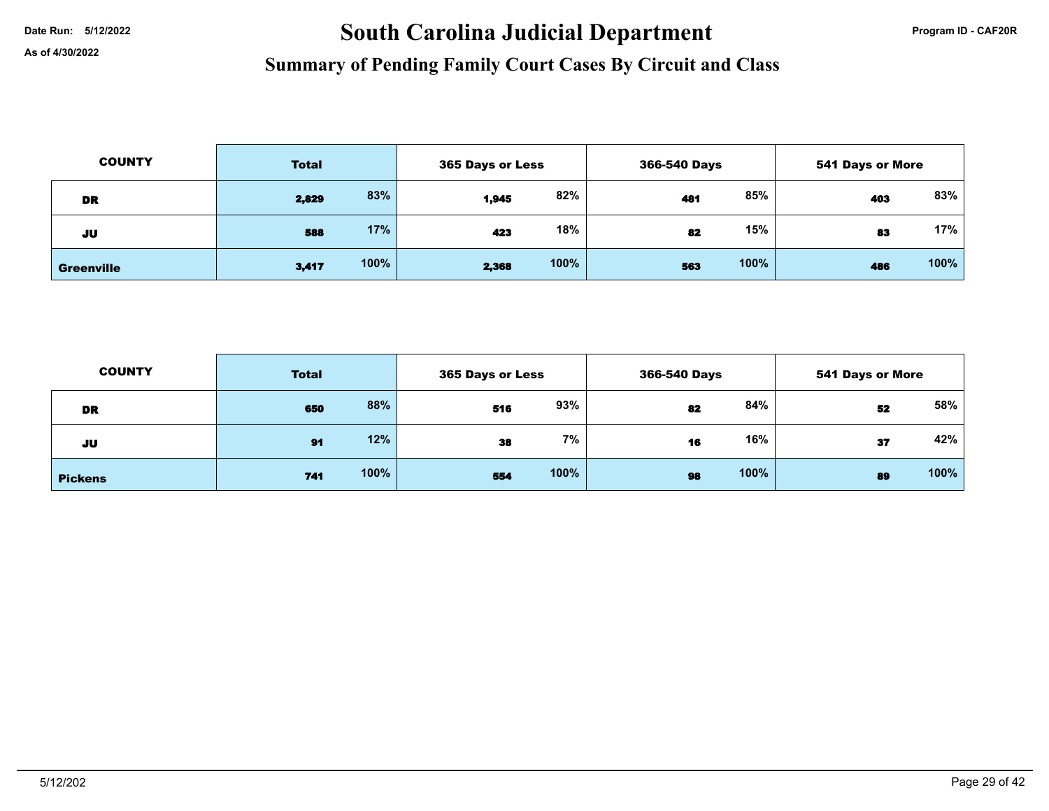# Date Run: 5/12/2022 **Program ID - CAF20R** South Carolina Judicial Department

| <b>COUNTY</b>     | <b>Total</b> |      | <b>365 Days or Less</b> |      | 366-540 Days |      | <b>541 Days or More</b> |      |
|-------------------|--------------|------|-------------------------|------|--------------|------|-------------------------|------|
| DR                | 2,829        | 83%  | 1,945                   | 82%  | 481          | 85%  | 403                     | 83%  |
| JU                | 588          | 17%  | 423                     | 18%  | 82           | 15%  | 83                      | 17%  |
| <b>Greenville</b> | 3,417        | 100% | 2,368                   | 100% | 563          | 100% | 486                     | 100% |

| <b>COUNTY</b>  | <b>Total</b> |      | 365 Days or Less |      | 366-540 Days |      | <b>541 Days or More</b> |      |
|----------------|--------------|------|------------------|------|--------------|------|-------------------------|------|
| <b>DR</b>      | 650          | 88%  | 516              | 93%  | 82           | 84%  | 52                      | 58%  |
| JU             | 91           | 12%  | 38               | 7%   | 16           | 16%  | 37                      | 42%  |
| <b>Pickens</b> | 741          | 100% | 554              | 100% | 98           | 100% | 89                      | 100% |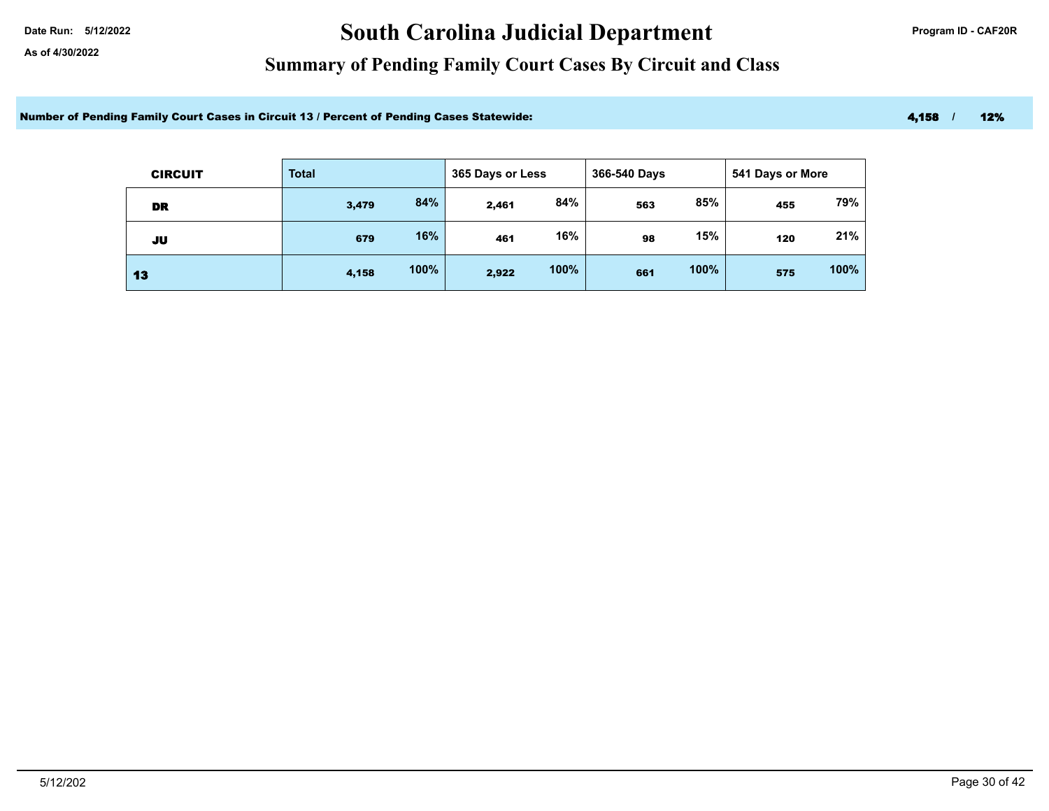## Date Run: 5/12/2022 **Date Run: 5/12/2022** Program ID - CAF20R

### **Summary of Pending Family Court Cases By Circuit and Class**

Number of Pending Family Court Cases in Circuit 13 / Percent of Pending Cases Statewide: 4,158 / 12%

| <b>CIRCUIT</b> | <b>Total</b> |      | 365 Days or Less |      | 366-540 Days |      | 541 Days or More |      |
|----------------|--------------|------|------------------|------|--------------|------|------------------|------|
| DR             | 3,479        | 84%  | 2,461            | 84%  | 563          | 85%  | 455              | 79%  |
| JU             | 679          | 16%  | 461              | 16%  | 98           | 15%  | 120              | 21%  |
| 13             | 4,158        | 100% | 2,922            | 100% | 661          | 100% | 575              | 100% |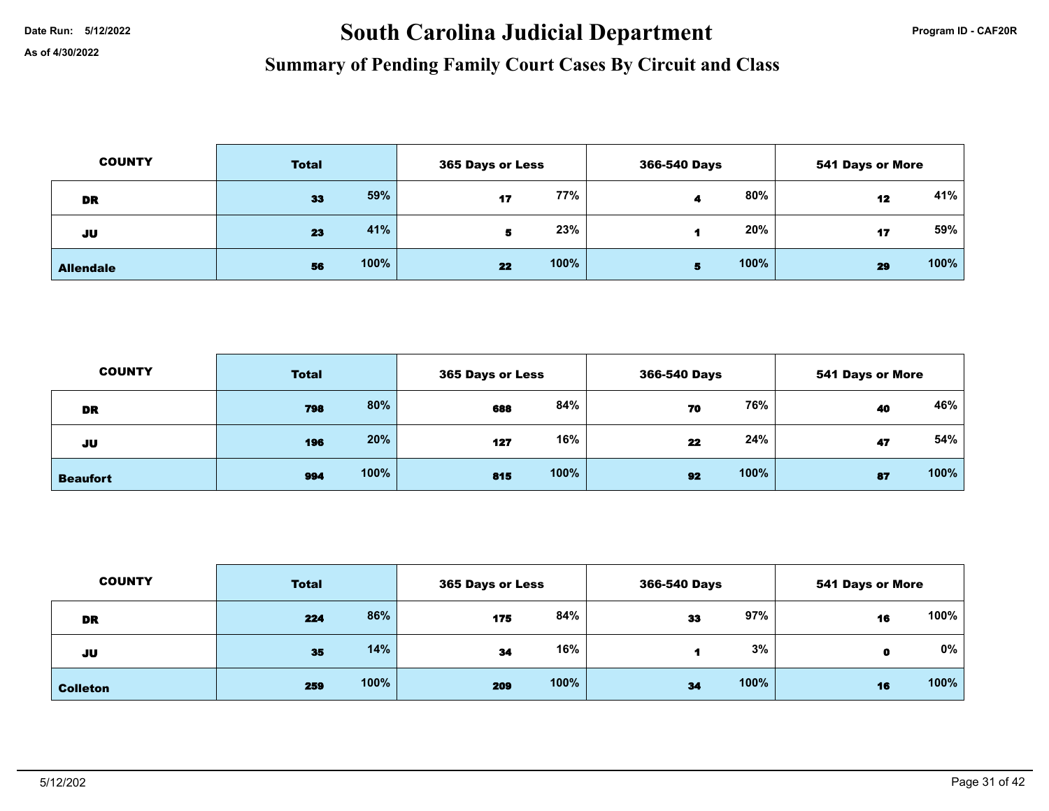# Date Run: 5/12/2022 **Program ID - CAF20R South Carolina Judicial Department Program ID - CAF20R**

| <b>COUNTY</b>    | <b>Total</b> | 365 Days or Less                | 366-540 Days | <b>541 Days or More</b> |  |
|------------------|--------------|---------------------------------|--------------|-------------------------|--|
| DR               | 59%<br>33    | 77%<br>17                       | 80%          | 41%<br>12               |  |
| JU               | 41%<br>23    | 23%<br>$\overline{\phantom{a}}$ | 20%          | 59%<br>17               |  |
| <b>Allendale</b> | 100%<br>56   | 100%<br>22                      | 100%         | 100%<br>29              |  |

| <b>COUNTY</b>   | <b>Total</b> |     | <b>365 Days or Less</b> |    | 366-540 Days |    | <b>541 Days or More</b> |  |
|-----------------|--------------|-----|-------------------------|----|--------------|----|-------------------------|--|
| DR              | 80%<br>798   | 688 | 84%                     | 70 | 76%          | 40 | 46%                     |  |
| JU              | 20%<br>196   | 127 | 16%                     | 22 | 24%          | 47 | 54%                     |  |
| <b>Beaufort</b> | 100%<br>994  | 815 | 100%                    | 92 | 100%         | 87 | 100%                    |  |

| <b>COUNTY</b>   | <b>Total</b> |      |     | <b>365 Days or Less</b> |    | 366-540 Days |    | <b>541 Days or More</b> |  |
|-----------------|--------------|------|-----|-------------------------|----|--------------|----|-------------------------|--|
| <b>DR</b>       | 224          | 86%  | 175 | 84%                     | 33 | 97%          | 16 | 100%                    |  |
| JU              | 35           | 14%  | 34  | 16%                     |    | 3%           | 0  | 0%                      |  |
| <b>Colleton</b> | 259          | 100% | 209 | 100%                    | 34 | 100%         | 16 | 100%                    |  |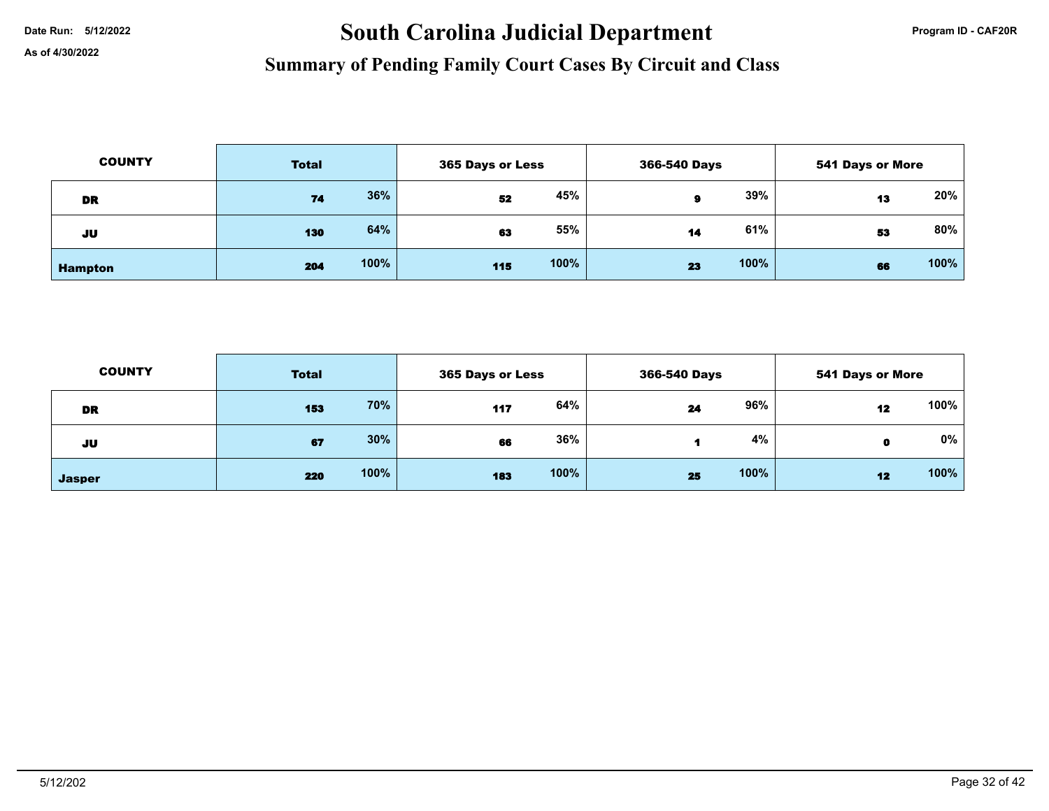# Date Run: 5/12/2022 **Program ID - CAF20R** South Carolina Judicial Department

| <b>COUNTY</b>  | <b>Total</b> |      |     | <b>365 Days or Less</b> |    | 366-540 Days |    | 541 Days or More |  |
|----------------|--------------|------|-----|-------------------------|----|--------------|----|------------------|--|
| DR             | 74           | 36%  | 52  | 45%                     | я  | 39%          | 13 | 20%              |  |
| JU             | 130          | 64%  | 63  | 55%                     | 14 | 61%          | 53 | 80%              |  |
| <b>Hampton</b> | 204          | 100% | 115 | 100%                    | 23 | 100%         | 66 | 100%             |  |

| <b>COUNTY</b> | <b>Total</b> |      | <b>365 Days or Less</b> |      | <b>366-540 Days</b> |      | <b>541 Days or More</b> |      |
|---------------|--------------|------|-------------------------|------|---------------------|------|-------------------------|------|
| DR            | 153          | 70%  | 117                     | 64%  | 24                  | 96%  | 12                      | 100% |
| JU            | 67           | 30%  | 66                      | 36%  |                     | 4%   |                         | 0%   |
| <b>Jasper</b> | 220          | 100% | 183                     | 100% | 25                  | 100% | 12                      | 100% |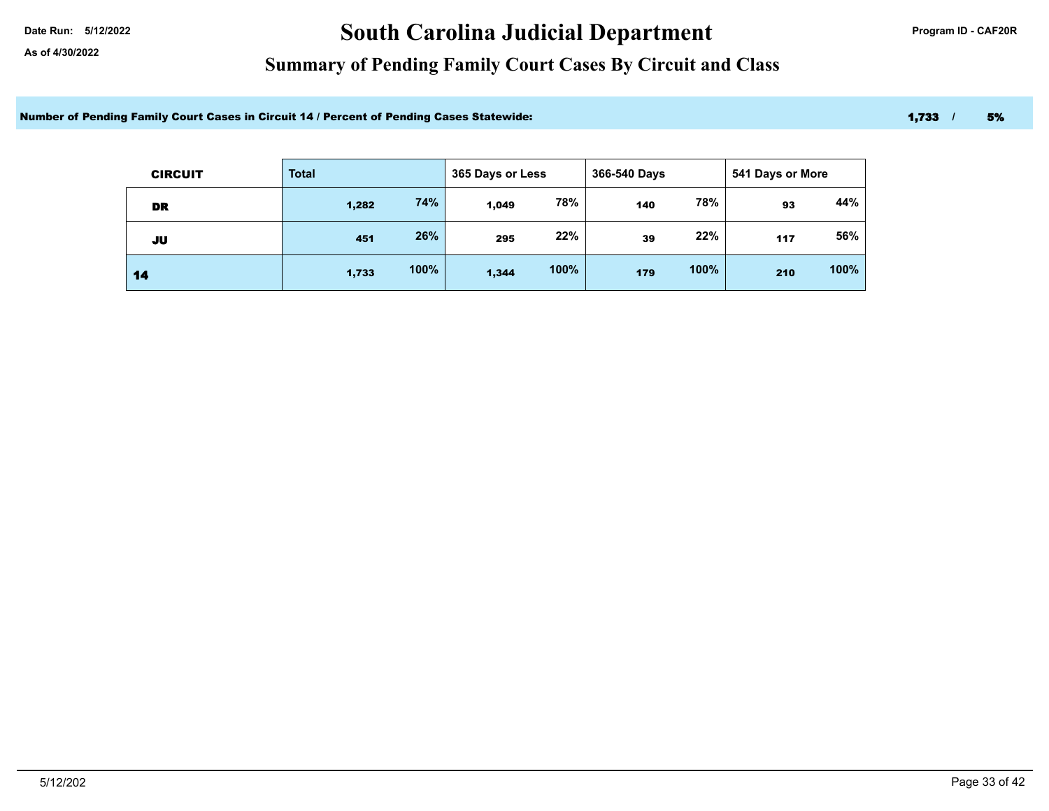## Date Run: 5/12/2022 **Date Run: 5/12/2022** Program ID - CAF20R

### **Summary of Pending Family Court Cases By Circuit and Class**

Number of Pending Family Court Cases in Circuit 14 / Percent of Pending Cases Statewide: 1,733 / 5% 1,733 / 5%

| <b>CIRCUIT</b> | <b>Total</b> |      | 365 Days or Less |      | 366-540 Days |      | 541 Days or More |      |
|----------------|--------------|------|------------------|------|--------------|------|------------------|------|
| DR             | 1,282        | 74%  | 1,049            | 78%  | 140          | 78%  | 93               | 44%  |
| JU             | 451          | 26%  | 295              | 22%  | 39           | 22%  | 117              | 56%  |
| 14             | 1,733        | 100% | 1,344            | 100% | 179          | 100% | 210              | 100% |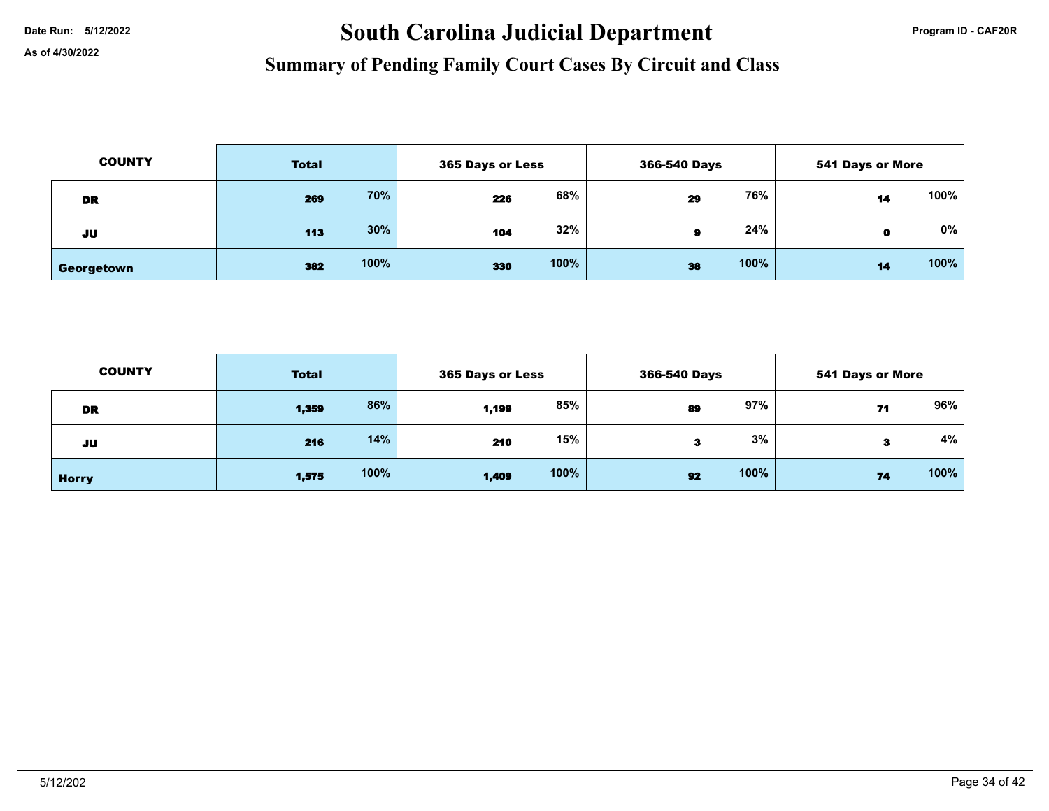# Date Run: 5/12/2022 **Program ID - CAF20R** South Carolina Judicial Department

| <b>COUNTY</b> | <b>Total</b> |      | 365 Days or Less |      | 366-540 Days |      | 541 Days or More |      |
|---------------|--------------|------|------------------|------|--------------|------|------------------|------|
| DR            | 269          | 70%  | 226              | 68%  | 29           | 76%  | 14               | 100% |
| JU            | 113          | 30%  | 104              | 32%  | Я            | 24%  | 0                | 0%   |
| Georgetown    | 382          | 100% | 330              | 100% | 38           | 100% | 14               | 100% |

| <b>COUNTY</b> | <b>Total</b> |      | 365 Days or Less |      | 366-540 Days |      | 541 Days or More |      |
|---------------|--------------|------|------------------|------|--------------|------|------------------|------|
| DR            | 1,359        | 86%  | 1,199            | 85%  | 89           | 97%  | 71               | 96%  |
| JU            | 216          | 14%  | 210              | 15%  | я            | 3%   | - 2<br>÷         | 4%   |
| <b>Horry</b>  | 1,575        | 100% | 1,409            | 100% | 92           | 100% | 74               | 100% |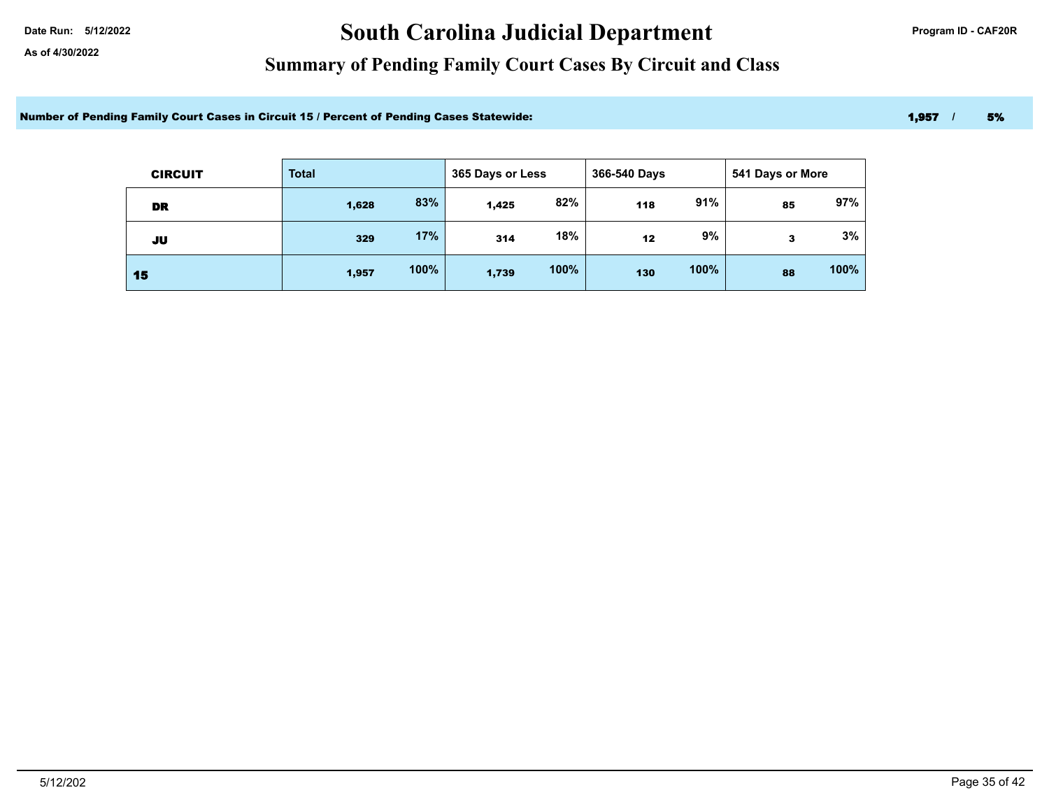## Date Run: 5/12/2022 **Date Run: 5/12/2022** Program ID - CAF20R

### **Summary of Pending Family Court Cases By Circuit and Class**

Number of Pending Family Court Cases in Circuit 15 / Percent of Pending Cases Statewide: 1,957 / 5% 1,957 / 5%

| <b>CIRCUIT</b> | <b>Total</b> |      | 365 Days or Less |      | 366-540 Days |      | 541 Days or More |      |
|----------------|--------------|------|------------------|------|--------------|------|------------------|------|
| DR             | 1,628        | 83%  | 1,425            | 82%  | 118          | 91%  | 85               | 97%  |
| JU             | 329          | 17%  | 314              | 18%  | 12           | 9%   | з                | 3%   |
| 15             | 1,957        | 100% | 1,739            | 100% | 130          | 100% | 88               | 100% |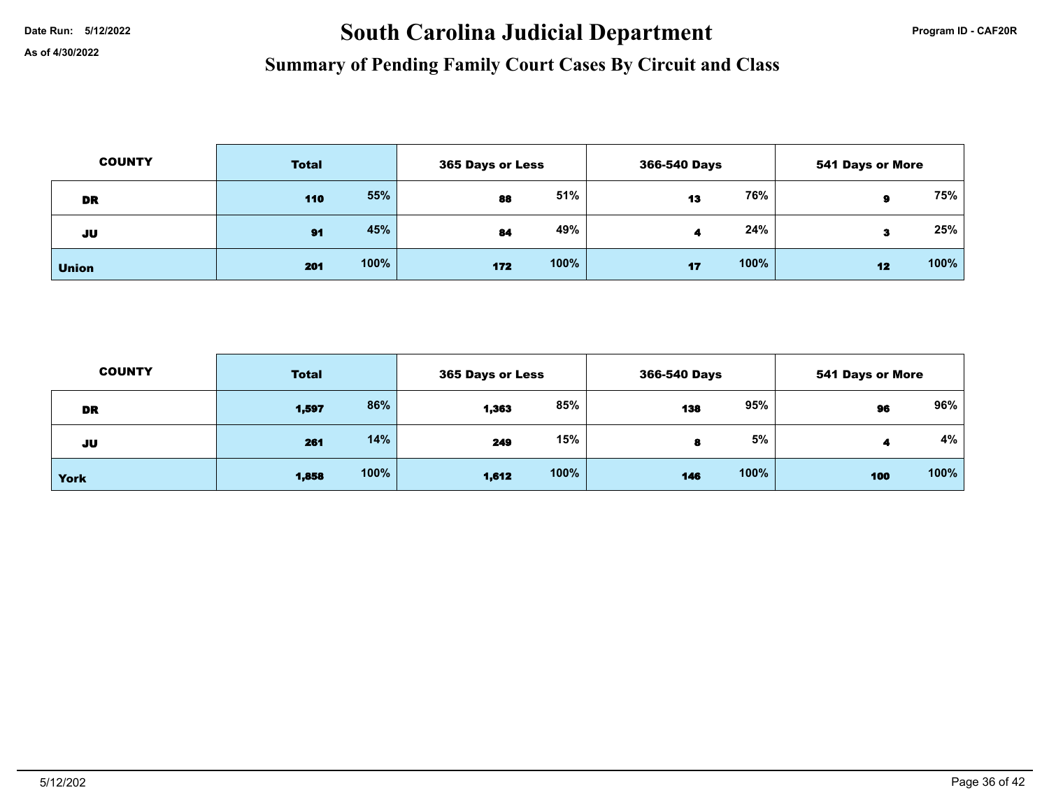# Date Run: 5/12/2022 **Program ID - CAF20R** South Carolina Judicial Department

| <b>COUNTY</b> | <b>Total</b> |      |     | 365 Days or Less |    | 366-540 Days |    | <b>541 Days or More</b> |  |
|---------------|--------------|------|-----|------------------|----|--------------|----|-------------------------|--|
| DR            | 110          | 55%  | 88  | 51%              | 13 | 76%          | 9  | 75%                     |  |
| JU            | 91           | 45%  | 84  | 49%              |    | 24%          | з  | 25%                     |  |
| <b>Union</b>  | 201          | 100% | 172 | 100%             | 17 | 100%         | 12 | 100%                    |  |

| <b>COUNTY</b> | <b>Total</b> |      | <b>365 Days or Less</b> |      | 366-540 Days |      | <b>541 Days or More</b> |      |
|---------------|--------------|------|-------------------------|------|--------------|------|-------------------------|------|
| DR            | 1,597        | 86%  | 1,363                   | 85%  | 138          | 95%  | 96                      | 96%  |
| JU            | 261          | 14%  | 249                     | 15%  | 8            | 5%   |                         | 4%   |
| <b>York</b>   | 1,858        | 100% | 1,612                   | 100% | 146          | 100% | 100                     | 100% |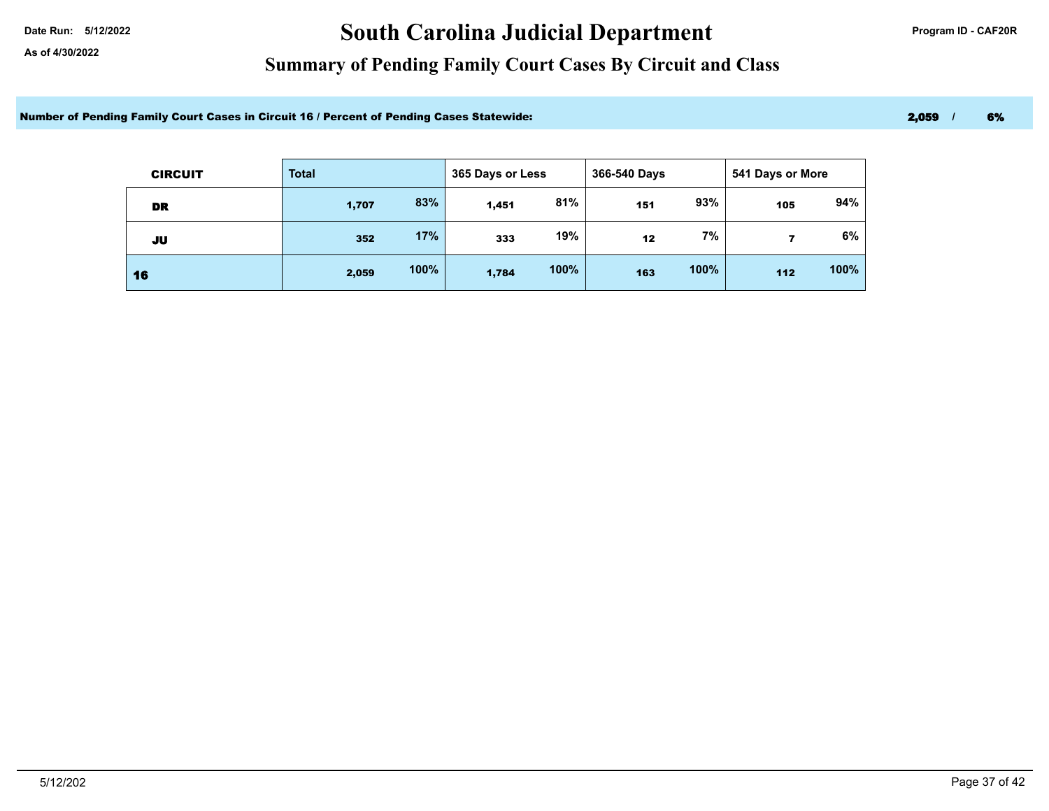## Date Run: 5/12/2022 **Date Run: 5/12/2022** Program ID - CAF20R

### **Summary of Pending Family Court Cases By Circuit and Class**

Number of Pending Family Court Cases in Circuit 16 / Percent of Pending Cases Statewide: 2,059 / 6% 2,059 / 6%

| <b>CIRCUIT</b> | <b>Total</b> |      | 365 Days or Less |      | 366-540 Days |      | 541 Days or More |      |
|----------------|--------------|------|------------------|------|--------------|------|------------------|------|
| DR             | 1,707        | 83%  | 1,451            | 81%  | 151          | 93%  | 105              | 94%  |
| JU             | 352          | 17%  | 333              | 19%  | 12           | 7%   |                  | 6%   |
| 16             | 2,059        | 100% | 1,784            | 100% | 163          | 100% | 112              | 100% |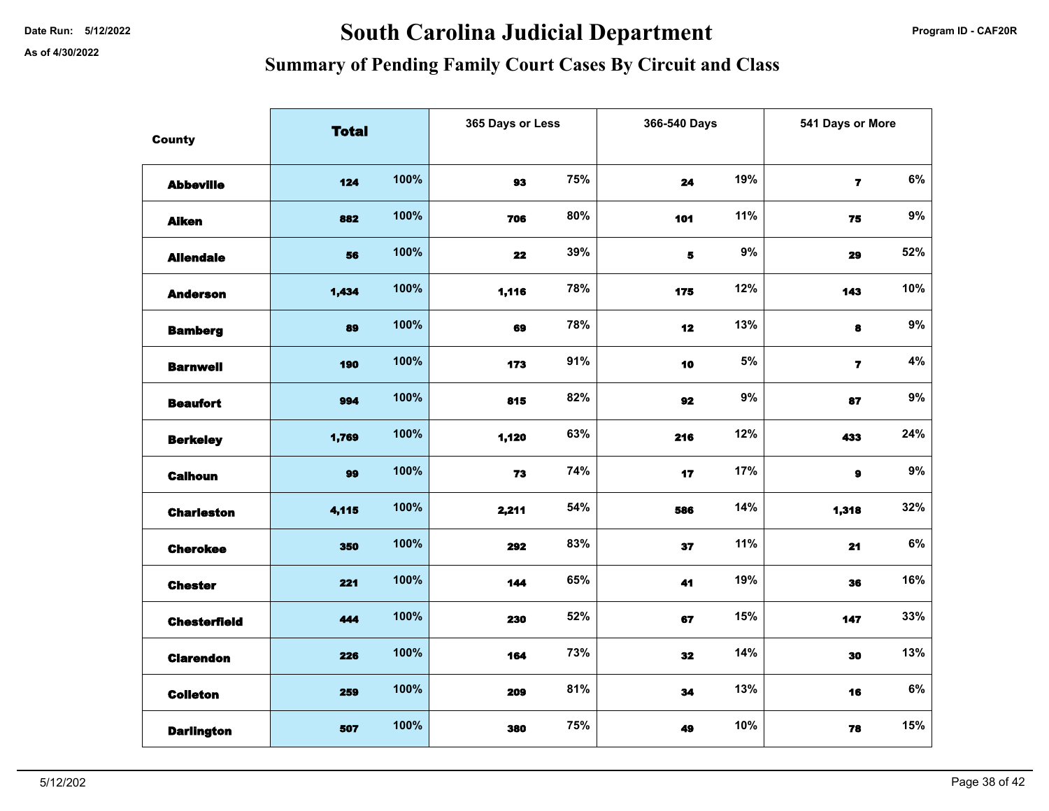# Date Run: 5/12/2022 **Program ID - CAF20R** South Carolina Judicial Department

| <b>County</b>       | <b>Total</b> |      |       | 365 Days or Less |     | 366-540 Days |                         | 541 Days or More |  |
|---------------------|--------------|------|-------|------------------|-----|--------------|-------------------------|------------------|--|
|                     |              |      |       |                  |     |              |                         |                  |  |
| <b>Abbeville</b>    | 124          | 100% | 93    | 75%              | 24  | 19%          | $\overline{\mathbf{r}}$ | $6\%$            |  |
| <b>Aiken</b>        | 882          | 100% | 706   | 80%              | 101 | 11%          | 75                      | 9%               |  |
| <b>Allendale</b>    | 56           | 100% | 22    | 39%              | 5   | 9%           | 29                      | 52%              |  |
| <b>Anderson</b>     | 1,434        | 100% | 1,116 | 78%              | 175 | 12%          | 143                     | 10%              |  |
| <b>Bamberg</b>      | 89           | 100% | 69    | 78%              | 12  | 13%          | 8                       | $9\%$            |  |
| <b>Barnwell</b>     | 190          | 100% | 173   | 91%              | 10  | $5\%$        | $\overline{7}$          | $4\%$            |  |
| <b>Beaufort</b>     | 994          | 100% | 815   | 82%              | 92  | $9\%$        | 87                      | $9\%$            |  |
| <b>Berkeley</b>     | 1,769        | 100% | 1,120 | 63%              | 216 | 12%          | 433                     | 24%              |  |
| <b>Calhoun</b>      | 99           | 100% | 73    | 74%              | 17  | 17%          | $\pmb{9}$               | $9\%$            |  |
| <b>Charleston</b>   | 4,115        | 100% | 2,211 | 54%              | 586 | 14%          | 1,318                   | 32%              |  |
| <b>Cherokee</b>     | 350          | 100% | 292   | 83%              | 37  | 11%          | 21                      | 6%               |  |
| <b>Chester</b>      | 221          | 100% | 144   | 65%              | 41  | 19%          | 36                      | 16%              |  |
| <b>Chesterfield</b> | 444          | 100% | 230   | 52%              | 67  | 15%          | 147                     | 33%              |  |
| <b>Clarendon</b>    | 226          | 100% | 164   | 73%              | 32  | 14%          | 30                      | 13%              |  |
| <b>Colleton</b>     | 259          | 100% | 209   | 81%              | 34  | 13%          | 16                      | $6\%$            |  |
| <b>Darlington</b>   | 507          | 100% | 380   | 75%              | 49  | 10%          | 78                      | 15%              |  |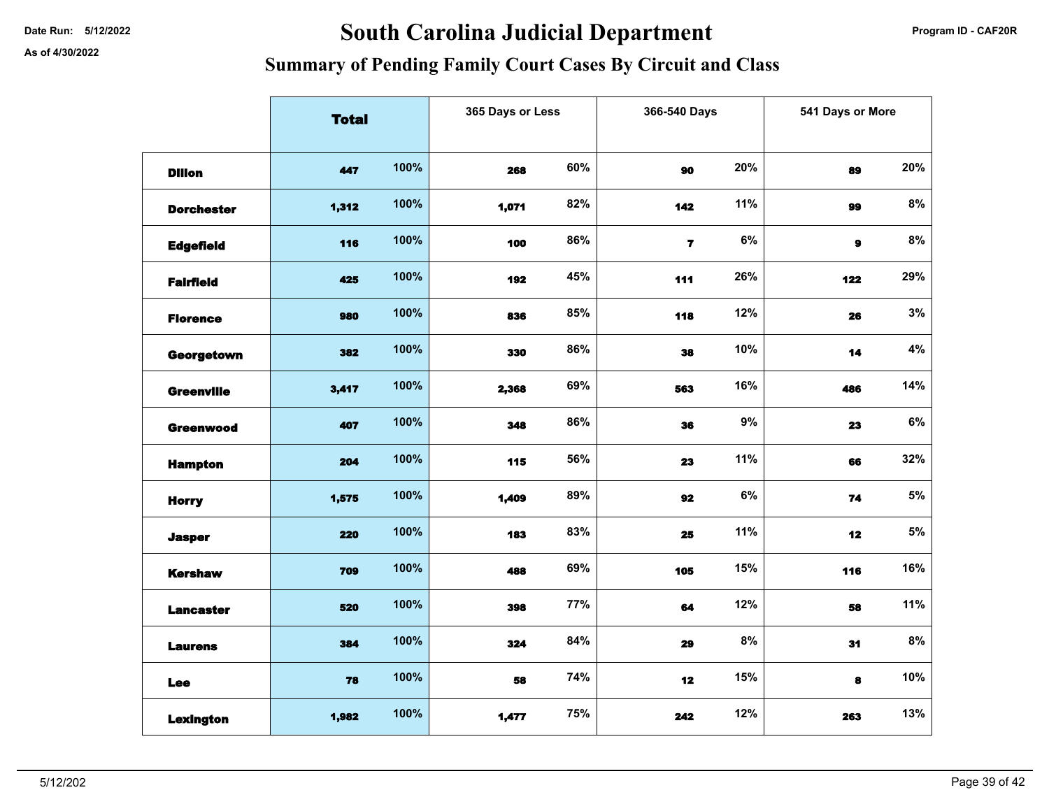# Date Run: 5/12/2022 **Program ID - CAF20R South Carolina Judicial Department Program ID - CAF20R**

|                   | <b>Total</b> |      | 365 Days or Less |     | 366-540 Days            |       | 541 Days or More |       |
|-------------------|--------------|------|------------------|-----|-------------------------|-------|------------------|-------|
| <b>Dillon</b>     | 447          | 100% | 268              | 60% | 90                      | 20%   | 89               | 20%   |
| <b>Dorchester</b> | 1,312        | 100% | 1,071            | 82% | 142                     | 11%   | 99               | 8%    |
| <b>Edgefield</b>  | 116          | 100% | 100              | 86% | $\overline{\mathbf{r}}$ | $6\%$ | $\mathbf{9}$     | 8%    |
| <b>Fairfield</b>  | 425          | 100% | 192              | 45% | 111                     | 26%   | 122              | 29%   |
| <b>Florence</b>   | 980          | 100% | 836              | 85% | 118                     | 12%   | 26               | 3%    |
| Georgetown        | 382          | 100% | 330              | 86% | 38                      | 10%   | 14               | $4\%$ |
| <b>Greenville</b> | 3,417        | 100% | 2,368            | 69% | 563                     | 16%   | 486              | 14%   |
| <b>Greenwood</b>  | 407          | 100% | 348              | 86% | 36                      | $9\%$ | 23               | $6\%$ |
| <b>Hampton</b>    | 204          | 100% | 115              | 56% | 23                      | 11%   | 66               | 32%   |
| <b>Horry</b>      | 1,575        | 100% | 1,409            | 89% | 92                      | $6\%$ | 74               | $5\%$ |
| <b>Jasper</b>     | 220          | 100% | 183              | 83% | 25                      | 11%   | 12               | $5\%$ |
| <b>Kershaw</b>    | 709          | 100% | 488              | 69% | 105                     | 15%   | 116              | 16%   |
| <b>Lancaster</b>  | 520          | 100% | 398              | 77% | 64                      | 12%   | 58               | 11%   |
| <b>Laurens</b>    | 384          | 100% | 324              | 84% | 29                      | 8%    | 31               | 8%    |
| <b>Lee</b>        | 78           | 100% | 58               | 74% | 12                      | 15%   | 8                | 10%   |
| <b>Lexington</b>  | 1,982        | 100% | 1,477            | 75% | 242                     | 12%   | 263              | 13%   |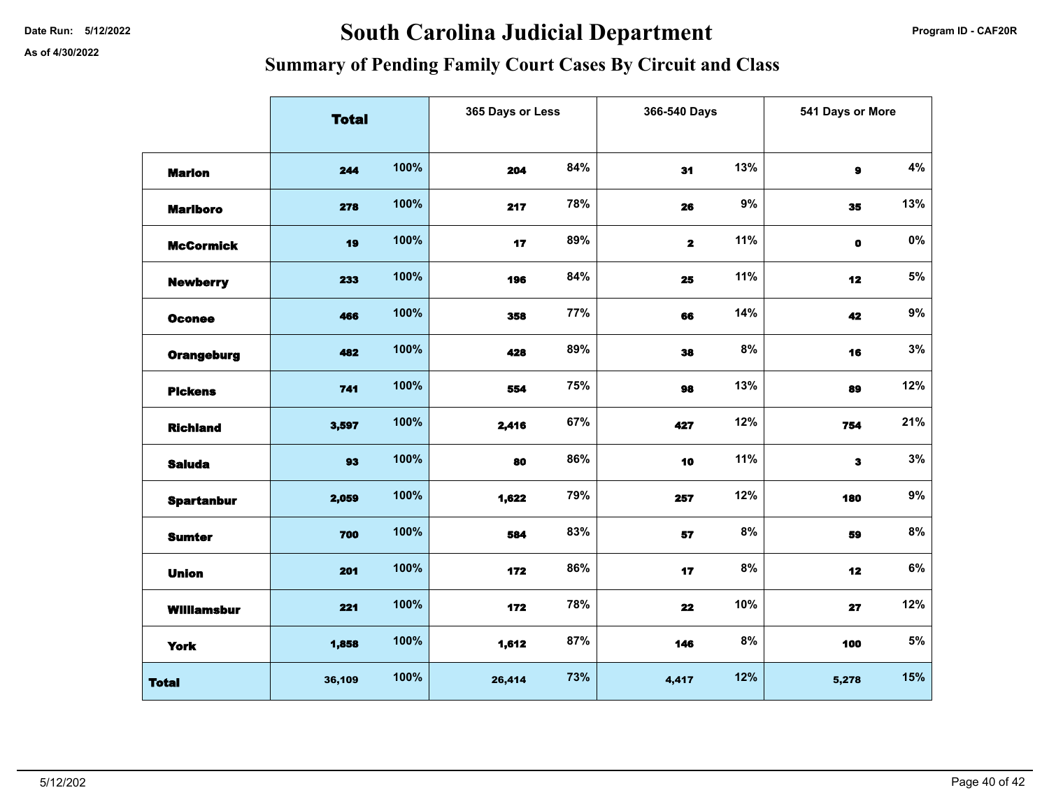# Date Run: 5/12/2022 **Program ID - CAF20R** South Carolina Judicial Department

|                    | <b>Total</b> |      | 365 Days or Less |     | 366-540 Days |     | 541 Days or More |       |
|--------------------|--------------|------|------------------|-----|--------------|-----|------------------|-------|
|                    |              |      |                  |     |              |     |                  |       |
| <b>Marion</b>      | 244          | 100% | 204              | 84% | 31           | 13% | $\mathbf{9}$     | $4\%$ |
| <b>Marlboro</b>    | 278          | 100% | 217              | 78% | 26           | 9%  | 35               | 13%   |
| <b>McCormick</b>   | 19           | 100% | 17               | 89% | $\mathbf{2}$ | 11% | $\bullet$        | $0\%$ |
| <b>Newberry</b>    | 233          | 100% | 196              | 84% | 25           | 11% | 12               | $5\%$ |
| <b>Oconee</b>      | 466          | 100% | 358              | 77% | 66           | 14% | 42               | $9\%$ |
| <b>Orangeburg</b>  | 482          | 100% | 428              | 89% | 38           | 8%  | 16               | $3\%$ |
| <b>Pickens</b>     | 741          | 100% | 554              | 75% | 98           | 13% | 89               | 12%   |
| <b>Richland</b>    | 3,597        | 100% | 2,416            | 67% | 427          | 12% | 754              | 21%   |
| <b>Saluda</b>      | 93           | 100% | 80               | 86% | 10           | 11% | $\mathbf{3}$     | $3\%$ |
| <b>Spartanbur</b>  | 2,059        | 100% | 1,622            | 79% | 257          | 12% | 180              | $9\%$ |
| <b>Sumter</b>      | 700          | 100% | 584              | 83% | 57           | 8%  | 59               | 8%    |
| <b>Union</b>       | 201          | 100% | 172              | 86% | 17           | 8%  | 12               | $6\%$ |
| <b>Williamsbur</b> | 221          | 100% | 172              | 78% | 22           | 10% | 27               | 12%   |
| <b>York</b>        | 1,858        | 100% | 1,612            | 87% | 146          | 8%  | 100              | $5\%$ |
| <b>Total</b>       | 36,109       | 100% | 26,414           | 73% | 4,417        | 12% | 5,278            | 15%   |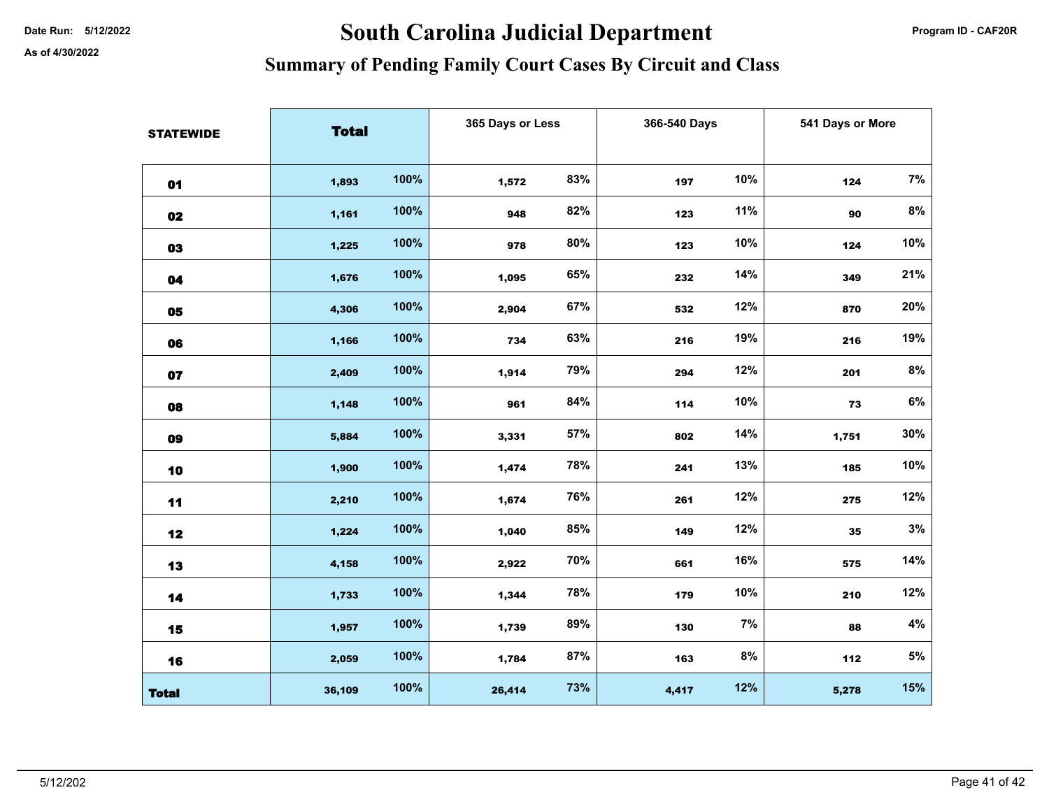# Date Run: 5/12/2022 **Program ID - CAF20R South Carolina Judicial Department Program ID - CAF20R**

| <b>STATEWIDE</b> | <b>Total</b> |      | 365 Days or Less |     | 366-540 Days |     | 541 Days or More |       |
|------------------|--------------|------|------------------|-----|--------------|-----|------------------|-------|
|                  |              |      |                  |     |              |     |                  |       |
| 01               | 1,893        | 100% | 1,572            | 83% | 197          | 10% | 124              | 7%    |
| 02               | 1,161        | 100% | 948              | 82% | 123          | 11% | 90               | 8%    |
| 03               | 1,225        | 100% | 978              | 80% | 123          | 10% | 124              | 10%   |
| 04               | 1,676        | 100% | 1,095            | 65% | 232          | 14% | 349              | 21%   |
| 05               | 4,306        | 100% | 2,904            | 67% | 532          | 12% | 870              | 20%   |
| 06               | 1,166        | 100% | 734              | 63% | 216          | 19% | 216              | 19%   |
| 07               | 2,409        | 100% | 1,914            | 79% | 294          | 12% | 201              | 8%    |
| 08               | 1,148        | 100% | 961              | 84% | 114          | 10% | 73               | 6%    |
| 09               | 5,884        | 100% | 3,331            | 57% | 802          | 14% | 1,751            | 30%   |
| 10               | 1,900        | 100% | 1,474            | 78% | 241          | 13% | 185              | 10%   |
| 11               | 2,210        | 100% | 1,674            | 76% | 261          | 12% | 275              | 12%   |
| 12               | 1,224        | 100% | 1,040            | 85% | 149          | 12% | 35               | 3%    |
| 13               | 4,158        | 100% | 2,922            | 70% | 661          | 16% | 575              | 14%   |
| 14               | 1,733        | 100% | 1,344            | 78% | 179          | 10% | 210              | 12%   |
| 15               | 1,957        | 100% | 1,739            | 89% | 130          | 7%  | 88               | 4%    |
| 16               | 2,059        | 100% | 1,784            | 87% | 163          | 8%  | 112              | $5\%$ |
| <b>Total</b>     | 36,109       | 100% | 26,414           | 73% | 4,417        | 12% | 5,278            | 15%   |